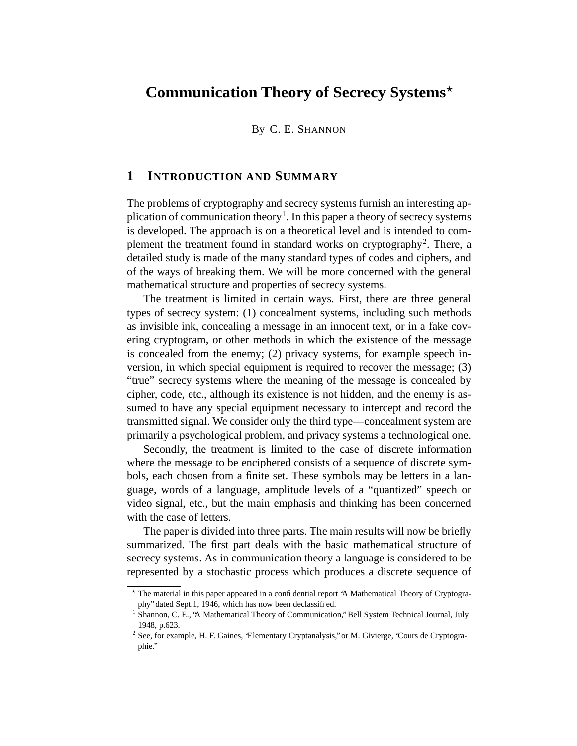# **Communication Theory of Secrecy Systems**?

By C. E. SHANNON

## **1 INTRODUCTION AND SUMMARY**

The problems of cryptography and secrecy systems furnish an interesting application of communication theory<sup>1</sup>. In this paper a theory of secrecy systems is developed. The approach is on a theoretical level and is intended to complement the treatment found in standard works on cryptography<sup>2</sup>. There, a detailed study is made of the many standard types of codes and ciphers, and of the ways of breaking them. We will be more concerned with the general mathematical structure and properties of secrecy systems.

The treatment is limited in certain ways. First, there are three general types of secrecy system: (1) concealment systems, including such methods as invisible ink, concealing a message in an innocent text, or in a fake covering cryptogram, or other methods in which the existence of the message is concealed from the enemy; (2) privacy systems, for example speech inversion, in which special equipment is required to recover the message; (3) "true" secrecy systems where the meaning of the message is concealed by cipher, code, etc., although its existence is not hidden, and the enemy is assumed to have any special equipment necessary to intercept and record the transmitted signal. We consider only the third type—concealment system are primarily a psychological problem, and privacy systems a technological one.

Secondly, the treatment is limited to the case of discrete information where the message to be enciphered consists of a sequence of discrete symbols, each chosen from a finite set. These symbols may be letters in a language, words of a language, amplitude levels of a "quantized" speech or video signal, etc., but the main emphasis and thinking has been concerned with the case of letters.

The paper is divided into three parts. The main results will now be briefly summarized. The first part deals with the basic mathematical structure of secrecy systems. As in communication theory a language is considered to be represented by a stochastic process which produces a discrete sequence of

<sup>?</sup> The material in this paper appeared in a confidential report "A Mathematical Theory of Cryptography" dated Sept.1, 1946, which has now been declassified.

<sup>&</sup>lt;sup>1</sup> Shannon, C. E., 'A Mathematical Theory of Communication,'' Bell System Technical Journal, July 1948, p.623.

 $2^2$  See, for example, H. F. Gaines, 'Elementary Cryptanalysis," or M. Givierge, 'Cours de Cryptographie."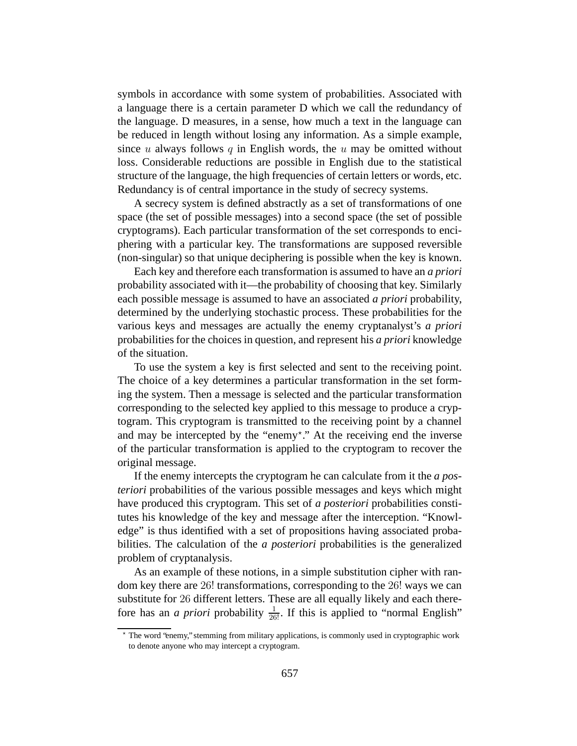symbols in accordance with some system of probabilities. Associated with a language there is a certain parameter D which we call the redundancy of the language. D measures, in a sense, how much a text in the language can be reduced in length without losing any information. As a simple example, since u always follows q in English words, the u may be omitted without loss. Considerable reductions are possible in English due to the statistical structure of the language, the high frequencies of certain letters or words, etc. Redundancy is of central importance in the study of secrecy systems.

A secrecy system is defined abstractly as a set of transformations of one space (the set of possible messages) into a second space (the set of possible cryptograms). Each particular transformation of the set corresponds to enciphering with a particular key. The transformations are supposed reversible (non-singular) so that unique deciphering is possible when the key is known.

Each key and therefore each transformation is assumed to have an *a priori* probability associated with it—the probability of choosing that key. Similarly each possible message is assumed to have an associated *a priori* probability, determined by the underlying stochastic process. These probabilities for the various keys and messages are actually the enemy cryptanalyst's *a priori* probabilities for the choices in question, and represent his *a priori* knowledge of the situation.

To use the system a key is first selected and sent to the receiving point. The choice of a key determines a particular transformation in the set forming the system. Then a message is selected and the particular transformation corresponding to the selected key applied to this message to produce a cryptogram. This cryptogram is transmitted to the receiving point by a channel and may be intercepted by the "enemy\*." At the receiving end the inverse of the particular transformation is applied to the cryptogram to recover the original message.

If the enemy intercepts the cryptogram he can calculate from it the *a posteriori* probabilities of the various possible messages and keys which might have produced this cryptogram. This set of *a posteriori* probabilities constitutes his knowledge of the key and message after the interception. "Knowledge" is thus identified with a set of propositions having associated probabilities. The calculation of the *a posteriori* probabilities is the generalized problem of cryptanalysis.

As an example of these notions, in a simple substitution cipher with random key there are 26! transformations, corresponding to the 26! ways we can substitute for 26 different letters. These are all equally likely and each therefore has an *a priori* probability  $\frac{1}{26!}$ . If this is applied to "normal English"

<sup>?</sup> The word "enemy," stemming from military applications, is commonly used in cryptographic work to denote anyone who may intercept a cryptogram.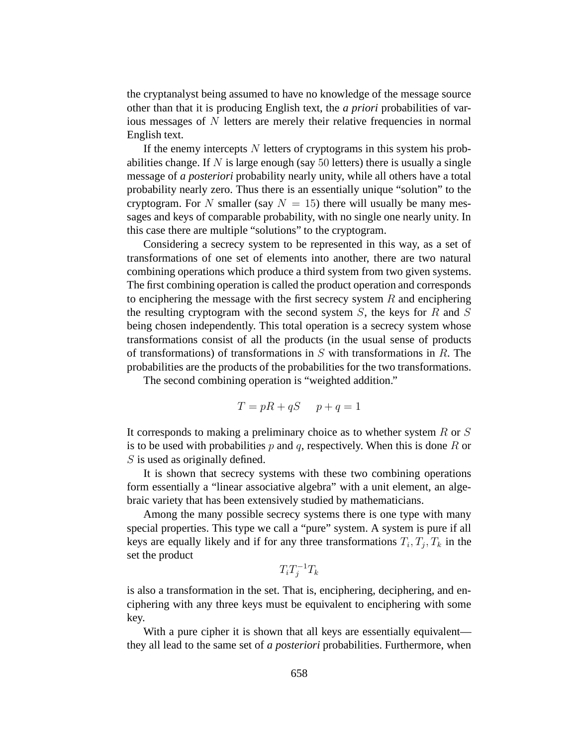the cryptanalyst being assumed to have no knowledge of the message source other than that it is producing English text, the *a priori* probabilities of various messages of N letters are merely their relative frequencies in normal English text.

If the enemy intercepts  $N$  letters of cryptograms in this system his probabilities change. If N is large enough (say 50 letters) there is usually a single message of *a posteriori* probability nearly unity, while all others have a total probability nearly zero. Thus there is an essentially unique "solution" to the cryptogram. For N smaller (say  $N = 15$ ) there will usually be many messages and keys of comparable probability, with no single one nearly unity. In this case there are multiple "solutions" to the cryptogram.

Considering a secrecy system to be represented in this way, as a set of transformations of one set of elements into another, there are two natural combining operations which produce a third system from two given systems. The first combining operation is called the product operation and corresponds to enciphering the message with the first secrecy system  $R$  and enciphering the resulting cryptogram with the second system  $S$ , the keys for  $R$  and  $S$ being chosen independently. This total operation is a secrecy system whose transformations consist of all the products (in the usual sense of products of transformations) of transformations in  $S$  with transformations in  $R$ . The probabilities are the products of the probabilities for the two transformations.

The second combining operation is "weighted addition."

$$
T = pR + qS \qquad p + q = 1
$$

It corresponds to making a preliminary choice as to whether system R or S is to be used with probabilities p and q, respectively. When this is done R or S is used as originally defined.

It is shown that secrecy systems with these two combining operations form essentially a "linear associative algebra" with a unit element, an algebraic variety that has been extensively studied by mathematicians.

Among the many possible secrecy systems there is one type with many special properties. This type we call a "pure" system. A system is pure if all keys are equally likely and if for any three transformations  $T_i, T_j, T_k$  in the set the product

 $T_i T_j^{-1} T_k$ 

is also a transformation in the set. That is, enciphering, deciphering, and enciphering with any three keys must be equivalent to enciphering with some key.

With a pure cipher it is shown that all keys are essentially equivalent they all lead to the same set of *a posteriori* probabilities. Furthermore, when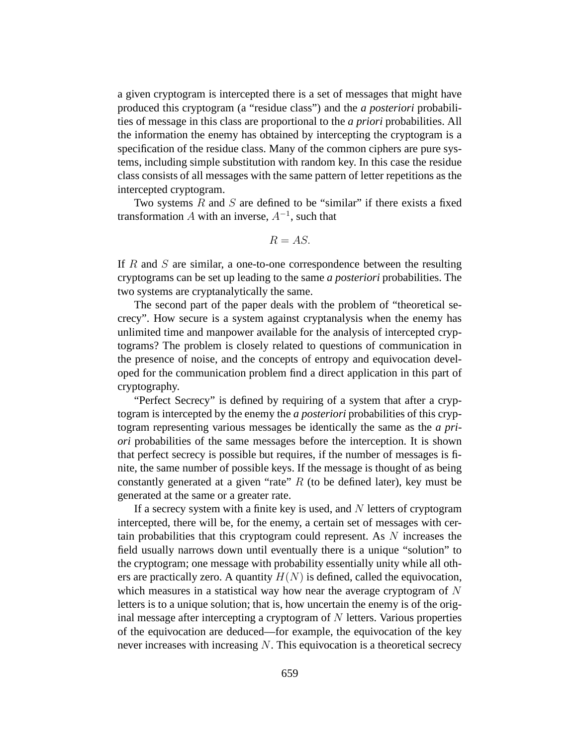a given cryptogram is intercepted there is a set of messages that might have produced this cryptogram (a "residue class") and the *a posteriori* probabilities of message in this class are proportional to the *a priori* probabilities. All the information the enemy has obtained by intercepting the cryptogram is a specification of the residue class. Many of the common ciphers are pure systems, including simple substitution with random key. In this case the residue class consists of all messages with the same pattern of letter repetitions as the intercepted cryptogram.

Two systems  $R$  and  $S$  are defined to be "similar" if there exists a fixed transformation A with an inverse,  $A^{-1}$ , such that

$$
R = AS.
$$

If  $R$  and  $S$  are similar, a one-to-one correspondence between the resulting cryptograms can be set up leading to the same *a posteriori* probabilities. The two systems are cryptanalytically the same.

The second part of the paper deals with the problem of "theoretical secrecy". How secure is a system against cryptanalysis when the enemy has unlimited time and manpower available for the analysis of intercepted cryptograms? The problem is closely related to questions of communication in the presence of noise, and the concepts of entropy and equivocation developed for the communication problem find a direct application in this part of cryptography.

"Perfect Secrecy" is defined by requiring of a system that after a cryptogram is intercepted by the enemy the *a posteriori* probabilities of this cryptogram representing various messages be identically the same as the *a priori* probabilities of the same messages before the interception. It is shown that perfect secrecy is possible but requires, if the number of messages is finite, the same number of possible keys. If the message is thought of as being constantly generated at a given "rate"  $R$  (to be defined later), key must be generated at the same or a greater rate.

If a secrecy system with a finite key is used, and  $N$  letters of cryptogram intercepted, there will be, for the enemy, a certain set of messages with certain probabilities that this cryptogram could represent. As  $N$  increases the field usually narrows down until eventually there is a unique "solution" to the cryptogram; one message with probability essentially unity while all others are practically zero. A quantity  $H(N)$  is defined, called the equivocation, which measures in a statistical way how near the average cryptogram of  $N$ letters is to a unique solution; that is, how uncertain the enemy is of the original message after intercepting a cryptogram of  $N$  letters. Various properties of the equivocation are deduced—for example, the equivocation of the key never increases with increasing  $N$ . This equivocation is a theoretical secrecy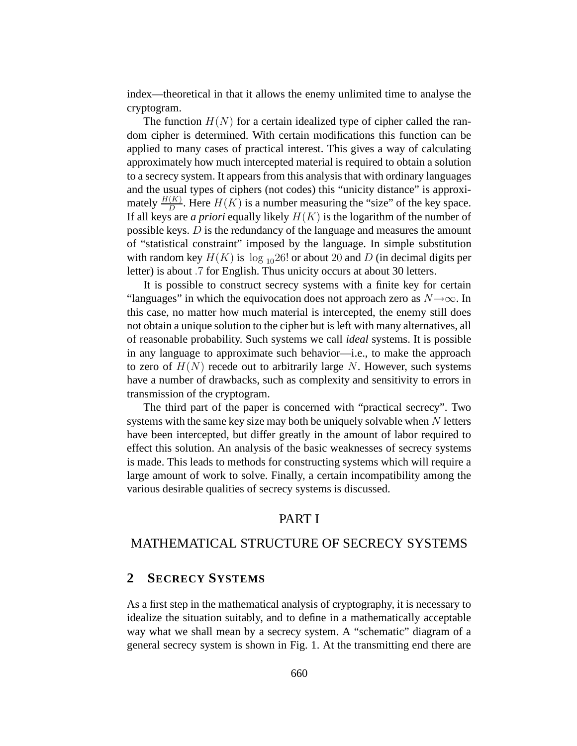index—theoretical in that it allows the enemy unlimited time to analyse the cryptogram.

The function  $H(N)$  for a certain idealized type of cipher called the random cipher is determined. With certain modifications this function can be applied to many cases of practical interest. This gives a way of calculating approximately how much intercepted material is required to obtain a solution to a secrecy system. It appears from this analysisthat with ordinary languages and the usual types of ciphers (not codes) this "unicity distance" is approximately  $\frac{H(K)}{D}$ . Here  $H(K)$  is a number measuring the "size" of the key space. If all keys are *a priori* equally likely  $H(K)$  is the logarithm of the number of possible keys. D is the redundancy of the language and measures the amount of "statistical constraint" imposed by the language. In simple substitution with random key  $H(K)$  is  $\log_{10}26!$  or about 20 and D (in decimal digits per letter) is about .7 for English. Thus unicity occurs at about 30 letters.

It is possible to construct secrecy systems with a finite key for certain "languages" in which the equivocation does not approach zero as  $N\rightarrow\infty$ . In this case, no matter how much material is intercepted, the enemy still does not obtain a unique solution to the cipher but is left with many alternatives, all of reasonable probability. Such systems we call *ideal* systems. It is possible in any language to approximate such behavior—i.e., to make the approach to zero of  $H(N)$  recede out to arbitrarily large N. However, such systems have a number of drawbacks, such as complexity and sensitivity to errors in transmission of the cryptogram.

The third part of the paper is concerned with "practical secrecy". Two systems with the same key size may both be uniquely solvable when  $N$  letters have been intercepted, but differ greatly in the amount of labor required to effect this solution. An analysis of the basic weaknesses of secrecy systems is made. This leads to methods for constructing systems which will require a large amount of work to solve. Finally, a certain incompatibility among the various desirable qualities of secrecy systems is discussed.

# PART I

# MATHEMATICAL STRUCTURE OF SECRECY SYSTEMS

## **2 SECRECY SYSTEMS**

As a first step in the mathematical analysis of cryptography, it is necessary to idealize the situation suitably, and to define in a mathematically acceptable way what we shall mean by a secrecy system. A "schematic" diagram of a general secrecy system is shown in Fig. 1. At the transmitting end there are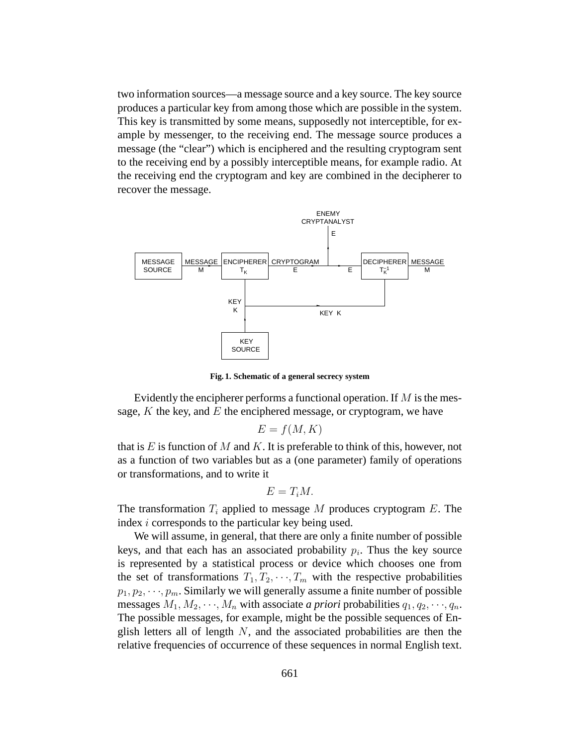two information sources—a message source and a key source. The key source produces a particular key from among those which are possible in the system. This key is transmitted by some means, supposedly not interceptible, for example by messenger, to the receiving end. The message source produces a message (the "clear") which is enciphered and the resulting cryptogram sent to the receiving end by a possibly interceptible means, for example radio. At the receiving end the cryptogram and key are combined in the decipherer to recover the message.



**Fig. 1. Schematic of a general secrecy system**

Evidently the encipherer performs a functional operation. If  $M$  is the message, K the key, and E the enciphered message, or cryptogram, we have

$$
E = f(M, K)
$$

that is  $E$  is function of  $M$  and  $K$ . It is preferable to think of this, however, not as a function of two variables but as a (one parameter) family of operations or transformations, and to write it

$$
E=T_iM.
$$

The transformation  $T_i$  applied to message M produces cryptogram E. The index i corresponds to the particular key being used.

We will assume, in general, that there are only a finite number of possible keys, and that each has an associated probability  $p_i$ . Thus the key source is represented by a statistical process or device which chooses one from the set of transformations  $T_1, T_2, \dots, T_m$  with the respective probabilities  $p_1, p_2, \dots, p_m$ . Similarly we will generally assume a finite number of possible messages  $M_1, M_2, \dots, M_n$  with associate *a priori* probabilities  $q_1, q_2, \dots, q_n$ . The possible messages, for example, might be the possible sequences of English letters all of length  $N$ , and the associated probabilities are then the relative frequencies of occurrence of these sequences in normal English text.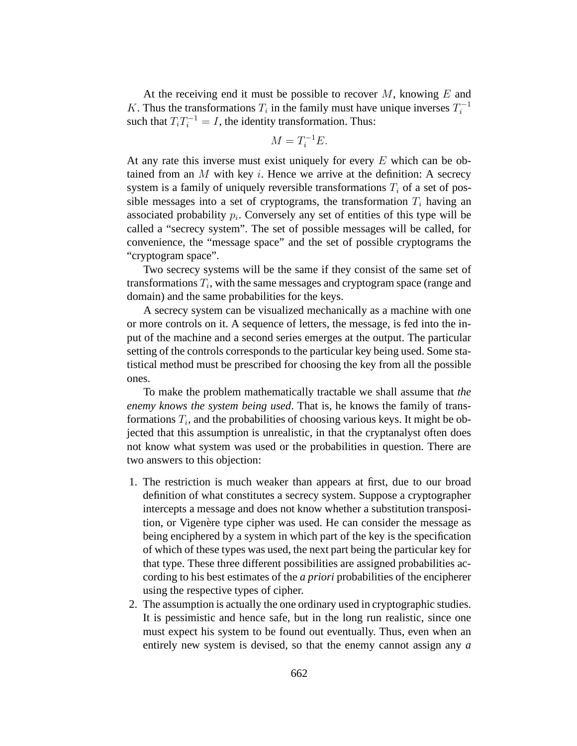At the receiving end it must be possible to recover  $M$ , knowing  $E$  and K. Thus the transformations  $T_i$  in the family must have unique inverses  $T_i^{-1}$ such that  $T_i T_i^{-1} = I$ , the identity transformation. Thus:

$$
M = T_i^{-1}E.
$$

At any rate this inverse must exist uniquely for every  $E$  which can be obtained from an  $M$  with key  $i$ . Hence we arrive at the definition: A secrecy system is a family of uniquely reversible transformations  $T_i$  of a set of possible messages into a set of cryptograms, the transformation  $T_i$  having an associated probability  $p_i$ . Conversely any set of entities of this type will be called a "secrecy system". The set of possible messages will be called, for convenience, the "message space" and the set of possible cryptograms the "cryptogram space".

Two secrecy systems will be the same if they consist of the same set of transformations  $T_i$ , with the same messages and cryptogram space (range and domain) and the same probabilities for the keys.

A secrecy system can be visualized mechanically as a machine with one or more controls on it. A sequence of letters, the message, is fed into the input of the machine and a second series emerges at the output. The particular setting of the controls corresponds to the particular key being used. Some statistical method must be prescribed for choosing the key from all the possible ones.

To make the problem mathematically tractable we shall assume that *the enemy knows the system being used*. That is, he knows the family of transformations  $T_i$ , and the probabilities of choosing various keys. It might be objected that this assumption is unrealistic, in that the cryptanalyst often does not know what system was used or the probabilities in question. There are two answers to this objection:

- 1. The restriction is much weaker than appears at first, due to our broad definition of what constitutes a secrecy system. Suppose a cryptographer intercepts a message and does not know whether a substitution transposition, or Vigenère type cipher was used. He can consider the message as being enciphered by a system in which part of the key is the specification of which of these types was used, the next part being the particular key for that type. These three different possibilities are assigned probabilities according to his best estimates of the *a priori* probabilities of the encipherer using the respective types of cipher.
- 2. The assumption is actually the one ordinary used in cryptographic studies. It is pessimistic and hence safe, but in the long run realistic, since one must expect his system to be found out eventually. Thus, even when an entirely new system is devised, so that the enemy cannot assign any *a*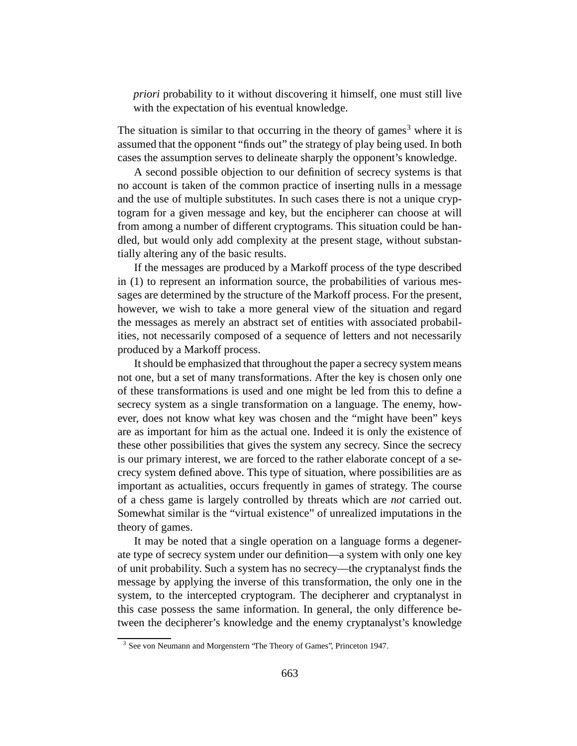*priori* probability to it without discovering it himself, one must still live with the expectation of his eventual knowledge.

The situation is similar to that occurring in the theory of games<sup>3</sup> where it is assumed that the opponent "finds out" the strategy of play being used. In both cases the assumption serves to delineate sharply the opponent's knowledge.

A second possible objection to our definition of secrecy systems is that no account is taken of the common practice of inserting nulls in a message and the use of multiple substitutes. In such cases there is not a unique cryptogram for a given message and key, but the encipherer can choose at will from among a number of different cryptograms. This situation could be handled, but would only add complexity at the present stage, without substantially altering any of the basic results.

If the messages are produced by a Markoff process of the type described in (1) to represent an information source, the probabilities of various messages are determined by the structure of the Markoff process. For the present, however, we wish to take a more general view of the situation and regard the messages as merely an abstract set of entities with associated probabilities, not necessarily composed of a sequence of letters and not necessarily produced by a Markoff process.

It should be emphasized that throughout the paper a secrecy system means not one, but a set of many transformations. After the key is chosen only one of these transformations is used and one might be led from this to define a secrecy system as a single transformation on a language. The enemy, however, does not know what key was chosen and the "might have been" keys are as important for him as the actual one. Indeed it is only the existence of these other possibilities that gives the system any secrecy. Since the secrecy is our primary interest, we are forced to the rather elaborate concept of a secrecy system defined above. This type of situation, where possibilities are as important as actualities, occurs frequently in games of strategy. The course of a chess game is largely controlled by threats which are *not* carried out. Somewhat similar is the "virtual existence" of unrealized imputations in the theory of games.

It may be noted that a single operation on a language forms a degenerate type of secrecy system under our definition—a system with only one key of unit probability. Such a system has no secrecy—the cryptanalyst finds the message by applying the inverse of this transformation, the only one in the system, to the intercepted cryptogram. The decipherer and cryptanalyst in this case possess the same information. In general, the only difference between the decipherer's knowledge and the enemy cryptanalyst's knowledge

<sup>&</sup>lt;sup>3</sup> See von Neumann and Morgenstern 'The Theory of Games'', Princeton 1947.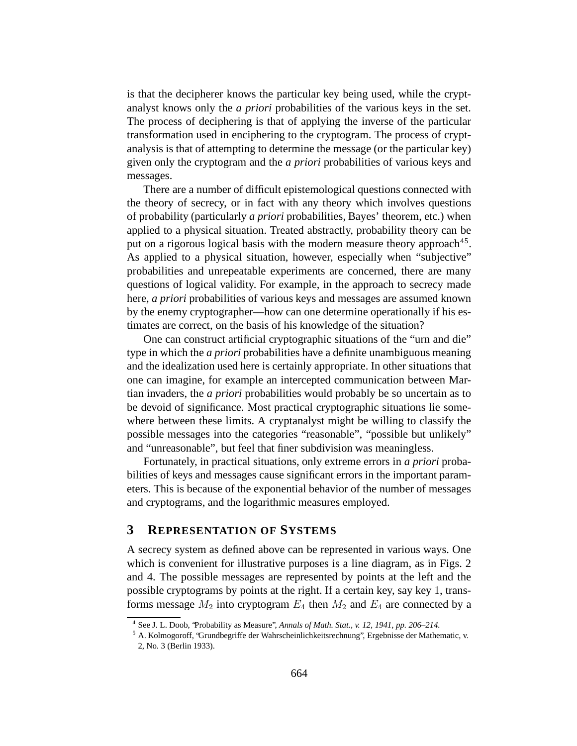is that the decipherer knows the particular key being used, while the cryptanalyst knows only the *a priori* probabilities of the various keys in the set. The process of deciphering is that of applying the inverse of the particular transformation used in enciphering to the cryptogram. The process of cryptanalysis is that of attempting to determine the message (or the particular key) given only the cryptogram and the *a priori* probabilities of various keys and messages.

There are a number of difficult epistemological questions connected with the theory of secrecy, or in fact with any theory which involves questions of probability (particularly *a priori* probabilities, Bayes' theorem, etc.) when applied to a physical situation. Treated abstractly, probability theory can be put on a rigorous logical basis with the modern measure theory approach<sup>45</sup>. As applied to a physical situation, however, especially when "subjective" probabilities and unrepeatable experiments are concerned, there are many questions of logical validity. For example, in the approach to secrecy made here, *a priori* probabilities of various keys and messages are assumed known by the enemy cryptographer—how can one determine operationally if his estimates are correct, on the basis of his knowledge of the situation?

One can construct artificial cryptographic situations of the "urn and die" type in which the *a priori* probabilities have a definite unambiguous meaning and the idealization used here is certainly appropriate. In other situations that one can imagine, for example an intercepted communication between Martian invaders, the *a priori* probabilities would probably be so uncertain as to be devoid of significance. Most practical cryptographic situations lie somewhere between these limits. A cryptanalyst might be willing to classify the possible messages into the categories "reasonable", "possible but unlikely" and "unreasonable", but feel that finer subdivision was meaningless.

Fortunately, in practical situations, only extreme errors in *a priori* probabilities of keys and messages cause significant errors in the important parameters. This is because of the exponential behavior of the number of messages and cryptograms, and the logarithmic measures employed.

### **3 REPRESENTATION OF SYSTEMS**

A secrecy system as defined above can be represented in various ways. One which is convenient for illustrative purposes is a line diagram, as in Figs. 2 and 4. The possible messages are represented by points at the left and the possible cryptograms by points at the right. If a certain key, say key 1, transforms message  $M_2$  into cryptogram  $E_4$  then  $M_2$  and  $E_4$  are connected by a

<sup>4</sup> See J. L. Doob, "Probability as Measure", *Annals of Math. Stat., v. 12, 1941, pp. 206–214.*

<sup>5</sup> A. Kolmogoroff, "Grundbegriffe der Wahrscheinlichkeitsrechnung", Ergebnisse der Mathematic, v. 2, No. 3 (Berlin 1933).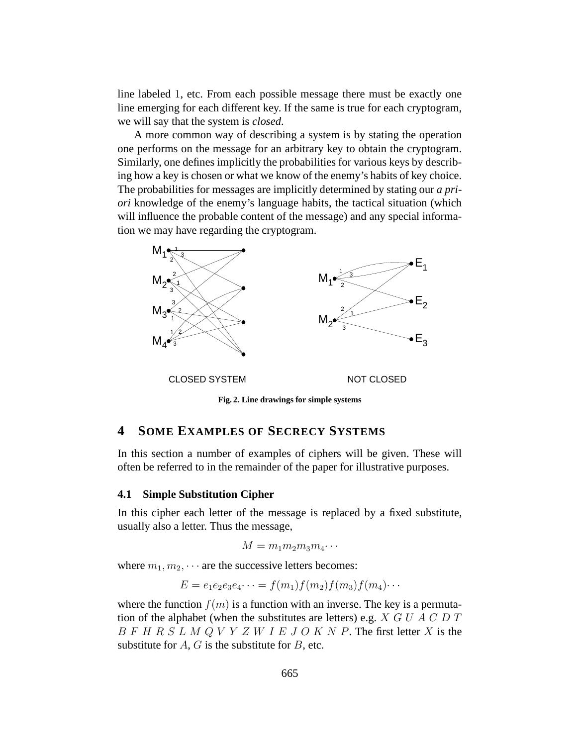line labeled 1, etc. From each possible message there must be exactly one line emerging for each different key. If the same is true for each cryptogram, we will say that the system is *closed*.

A more common way of describing a system is by stating the operation one performs on the message for an arbitrary key to obtain the cryptogram. Similarly, one defines implicitly the probabilities for various keys by describing how a key is chosen or what we know of the enemy's habits of key choice. The probabilities for messages are implicitly determined by stating our *a priori* knowledge of the enemy's language habits, the tactical situation (which will influence the probable content of the message) and any special information we may have regarding the cryptogram.



**Fig. 2. Line drawings for simple systems**

## **4 SOME EXAMPLES OF SECRECY SYSTEMS**

In this section a number of examples of ciphers will be given. These will often be referred to in the remainder of the paper for illustrative purposes.

#### **4.1 Simple Substitution Cipher**

In this cipher each letter of the message is replaced by a fixed substitute, usually also a letter. Thus the message,

$$
M = m_1 m_2 m_3 m_4 \cdots
$$

where  $m_1, m_2, \cdots$  are the successive letters becomes:

$$
E = e_1 e_2 e_3 e_4 \cdots = f(m_1) f(m_2) f(m_3) f(m_4) \cdots
$$

where the function  $f(m)$  is a function with an inverse. The key is a permutation of the alphabet (when the substitutes are letters) e.g.  $X G U A C D T$  $B$  F H R S L M Q V Y Z W I E J O K N P. The first letter X is the substitute for  $A$ ,  $G$  is the substitute for  $B$ , etc.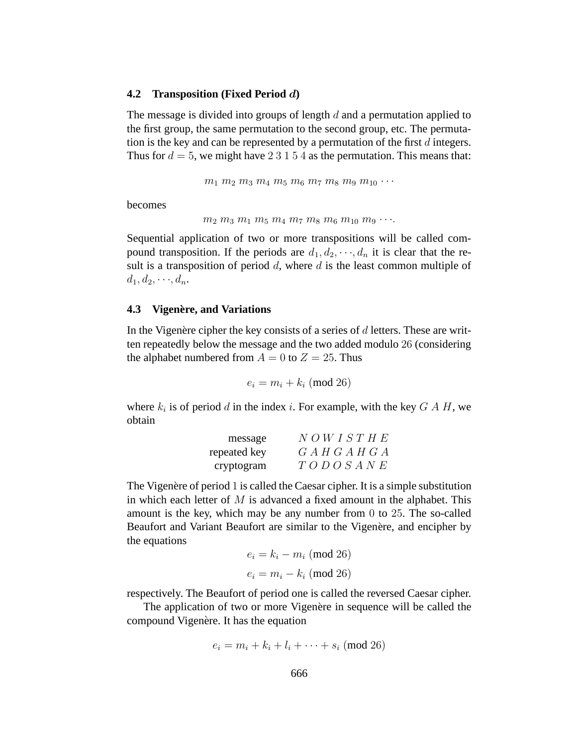#### **4.2 Transposition (Fixed Period** d**)**

The message is divided into groups of length  $d$  and a permutation applied to the first group, the same permutation to the second group, etc. The permutation is the key and can be represented by a permutation of the first  $d$  integers. Thus for  $d = 5$ , we might have 2 3 1 5 4 as the permutation. This means that:

 $m_1$   $m_2$   $m_3$   $m_4$   $m_5$   $m_6$   $m_7$   $m_8$   $m_9$   $m_{10}$   $\cdots$ 

becomes

 $m_2$   $m_3$   $m_1$   $m_5$   $m_4$   $m_7$   $m_8$   $m_6$   $m_{10}$   $m_9$   $\cdots$ 

Sequential application of two or more transpositions will be called compound transposition. If the periods are  $d_1, d_2, \dots, d_n$  it is clear that the result is a transposition of period  $d$ , where  $d$  is the least common multiple of  $d_1, d_2, \cdots, d_n.$ 

#### **4.3 Vigen**`**ere, and Variations**

In the Vigenère cipher the key consists of a series of  $d$  letters. These are written repeatedly below the message and the two added modulo 26 (considering the alphabet numbered from  $A = 0$  to  $Z = 25$ . Thus

 $e_i = m_i + k_i \pmod{26}$ 

where  $k_i$  is of period d in the index i. For example, with the key  $G A H$ , we obtain

| message      | $N$ O W I S T H E |
|--------------|-------------------|
| repeated key | G A H G A H G A   |
| cryptogram   | T O D O S A N E   |

The Vigenère of period 1 is called the Caesar cipher. It is a simple substitution in which each letter of  $M$  is advanced a fixed amount in the alphabet. This amount is the key, which may be any number from 0 to 25. The so-called Beaufort and Variant Beaufort are similar to the Vigenère, and encipher by the equations

$$
e_i = k_i - m_i \pmod{26}
$$

$$
e_i = m_i - k_i \pmod{26}
$$

respectively. The Beaufort of period one is called the reversed Caesar cipher.

The application of two or more Vigenère in sequence will be called the compound Vigenère. It has the equation

$$
e_i = m_i + k_i + l_i + \dots + s_i \pmod{26}
$$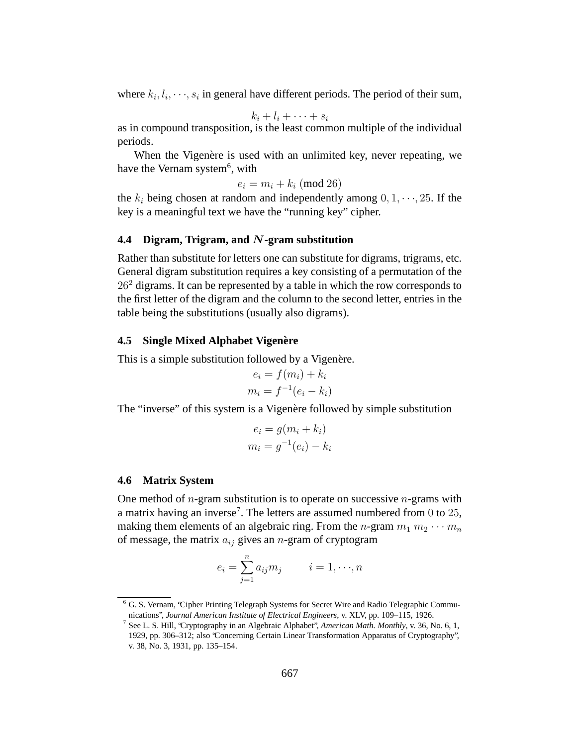where  $k_i, l_i, \dots, s_i$  in general have different periods. The period of their sum,

 $k_i + l_i + \cdots + s_i$ 

as in compound transposition, is the least common multiple of the individual periods.

When the Vigenère is used with an unlimited key, never repeating, we have the Vernam system<sup>6</sup>, with

 $e_i = m_i + k_i \pmod{26}$ 

the  $k_i$  being chosen at random and independently among  $0, 1, \dots, 25$ . If the key is a meaningful text we have the "running key" cipher.

#### **4.4 Digram, Trigram, and** N**-gram substitution**

Rather than substitute for letters one can substitute for digrams, trigrams, etc. General digram substitution requires a key consisting of a permutation of the  $26<sup>2</sup>$  digrams. It can be represented by a table in which the row corresponds to the first letter of the digram and the column to the second letter, entries in the table being the substitutions (usually also digrams).

#### **4.5 Single Mixed Alphabet Vigen**`**ere**

This is a simple substitution followed by a Vigenère.

$$
e_i = f(m_i) + k_i
$$

$$
m_i = f^{-1}(e_i - k_i)
$$

The "inverse" of this system is a Vigenère followed by simple substitution

$$
e_i = g(m_i + k_i)
$$

$$
m_i = g^{-1}(e_i) - k_i
$$

#### **4.6 Matrix System**

One method of  $n$ -gram substitution is to operate on successive  $n$ -grams with a matrix having an inverse<sup>7</sup>. The letters are assumed numbered from  $0$  to  $25$ , making them elements of an algebraic ring. From the *n*-gram  $m_1 m_2 \cdots m_n$ of message, the matrix  $a_{ij}$  gives an *n*-gram of cryptogram

$$
e_i = \sum_{j=1}^n a_{ij} m_j \qquad i = 1, \dots, n
$$

<sup>6</sup> G. S. Vernam, "Cipher Printing Telegraph Systems for Secret Wire and Radio Telegraphic Communications", *Journal American Institute of Electrical Engineers*, v. XLV, pp. 109–115, 1926.

<sup>7</sup> See L. S. Hill, "Cryptography in an Algebraic Alphabet", *American Math. Monthly*, v. 36, No. 6, 1, 1929, pp. 306–312; also "Concerning Certain Linear Transformation Apparatus of Cryptography", v. 38, No. 3, 1931, pp. 135–154.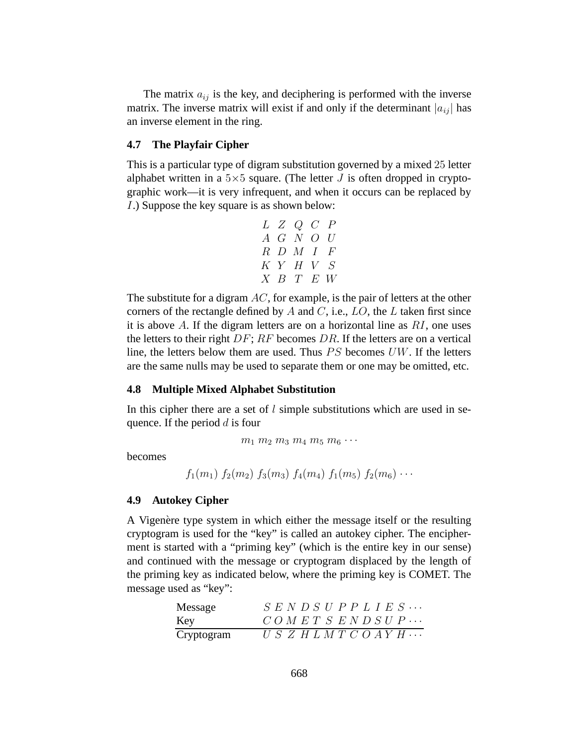The matrix  $a_{ij}$  is the key, and deciphering is performed with the inverse matrix. The inverse matrix will exist if and only if the determinant  $|a_{ij}|$  has an inverse element in the ring.

### **4.7 The Playfair Cipher**

This is a particular type of digram substitution governed by a mixed 25 letter alphabet written in a  $5\times 5$  square. (The letter J is often dropped in cryptographic work—it is very infrequent, and when it occurs can be replaced by I.) Suppose the key square is as shown below:

$$
\begin{array}{ccccccccc}L & Z & Q & C & P \\ A & G & N & O & U \\ R & D & M & I & F \\ K & Y & H & V & S \\ X & B & T & E & W \end{array}
$$

The substitute for a digram  $AC$ , for example, is the pair of letters at the other corners of the rectangle defined by  $A$  and  $C$ , i.e.,  $LO$ , the  $L$  taken first since it is above A. If the digram letters are on a horizontal line as  $RI$ , one uses the letters to their right  $DF$ ;  $RF$  becomes DR. If the letters are on a vertical line, the letters below them are used. Thus PS becomes UW. If the letters are the same nulls may be used to separate them or one may be omitted, etc.

#### **4.8 Multiple Mixed Alphabet Substitution**

In this cipher there are a set of  $l$  simple substitutions which are used in sequence. If the period  $d$  is four

 $m_1$   $m_2$   $m_3$   $m_4$   $m_5$   $m_6$   $\cdots$ 

becomes

```
f_1(m_1) f_2(m_2) f_3(m_3) f_4(m_4) f_1(m_5) f_2(m_6) \cdots
```
#### **4.9 Autokey Cipher**

A Vigenère type system in which either the message itself or the resulting cryptogram is used for the "key" is called an autokey cipher. The encipherment is started with a "priming key" (which is the entire key in our sense) and continued with the message or cryptogram displaced by the length of the priming key as indicated below, where the priming key is COMET. The message used as "key":

| Message    | $S E N D S U P P L I E S \cdots$ |
|------------|----------------------------------|
| Key        | COMETSENDSUP                     |
| Cryptogram | $U S Z H L M T C O A Y H \cdots$ |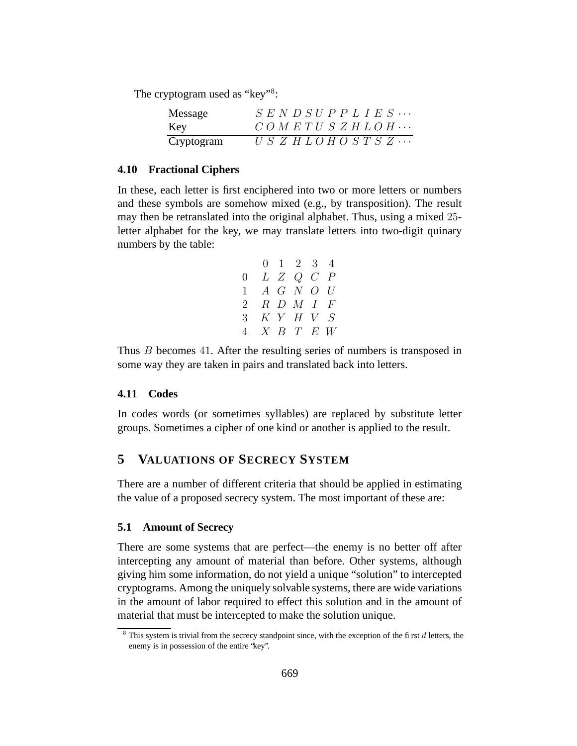The cryptogram used as "key"<sup>8</sup>:

| Message    | $S \ E \ N \ D \ S \ U \ P \ P \ L \ I \ E \ S \ \cdots$ |
|------------|----------------------------------------------------------|
| Key        | $COMETUSZHLOH\cdots$                                     |
| Cryptogram | $U S Z H L O H O S T S Z \cdots$                         |

#### **4.10 Fractional Ciphers**

In these, each letter is first enciphered into two or more letters or numbers and these symbols are somehow mixed (e.g., by transposition). The result may then be retranslated into the original alphabet. Thus, using a mixed 25 letter alphabet for the key, we may translate letters into two-digit quinary numbers by the table:

|          |                         | $0 \t1 \t2 \t3 \t4$ |  |
|----------|-------------------------|---------------------|--|
| $\theta$ |                         | L Z Q C P           |  |
| 1        |                         | $A$ G N O U         |  |
| $2 -$    |                         | $R$ $D$ $M$ $I$ $F$ |  |
| 3        |                         | K Y H V S           |  |
|          | $4$ $X$ $B$ $T$ $E$ $W$ |                     |  |

Thus B becomes 41. After the resulting series of numbers is transposed in some way they are taken in pairs and translated back into letters.

#### **4.11 Codes**

In codes words (or sometimes syllables) are replaced by substitute letter groups. Sometimes a cipher of one kind or another is applied to the result.

# **5 VALUATIONS OF SECRECY SYSTEM**

There are a number of different criteria that should be applied in estimating the value of a proposed secrecy system. The most important of these are:

### **5.1 Amount of Secrecy**

There are some systems that are perfect—the enemy is no better off after intercepting any amount of material than before. Other systems, although giving him some information, do not yield a unique "solution" to intercepted cryptograms. Among the uniquely solvable systems, there are wide variations in the amount of labor required to effect this solution and in the amount of material that must be intercepted to make the solution unique.

 $8$  This system is trivial from the secrecy standpoint since, with the exception of the first d letters, the enemy is in possession of the entire "key".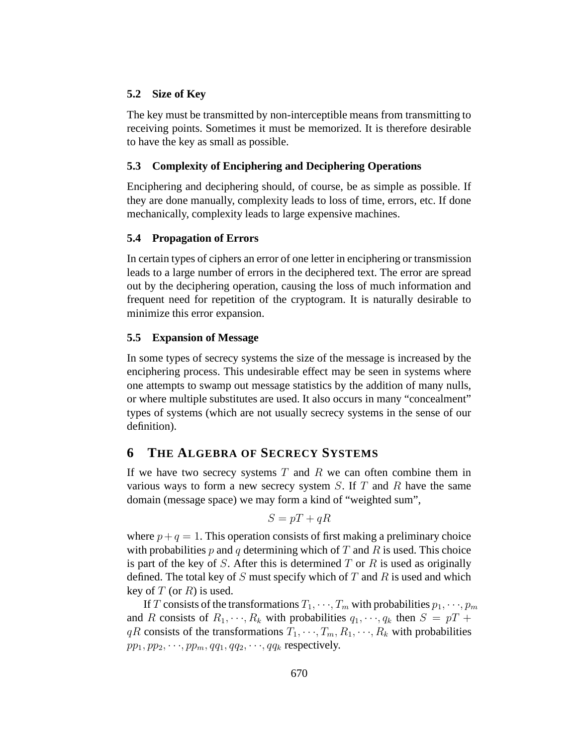## **5.2 Size of Key**

The key must be transmitted by non-interceptible means from transmitting to receiving points. Sometimes it must be memorized. It is therefore desirable to have the key as small as possible.

#### **5.3 Complexity of Enciphering and Deciphering Operations**

Enciphering and deciphering should, of course, be as simple as possible. If they are done manually, complexity leads to loss of time, errors, etc. If done mechanically, complexity leads to large expensive machines.

#### **5.4 Propagation of Errors**

In certain types of ciphers an error of one letter in enciphering or transmission leads to a large number of errors in the deciphered text. The error are spread out by the deciphering operation, causing the loss of much information and frequent need for repetition of the cryptogram. It is naturally desirable to minimize this error expansion.

#### **5.5 Expansion of Message**

In some types of secrecy systems the size of the message is increased by the enciphering process. This undesirable effect may be seen in systems where one attempts to swamp out message statistics by the addition of many nulls, or where multiple substitutes are used. It also occurs in many "concealment" types of systems (which are not usually secrecy systems in the sense of our definition).

## **6 THE ALGEBRA OF SECRECY SYSTEMS**

If we have two secrecy systems  $T$  and  $R$  we can often combine them in various ways to form a new secrecy system  $S$ . If  $T$  and  $R$  have the same domain (message space) we may form a kind of "weighted sum",

$$
S = pT + qR
$$

where  $p+q = 1$ . This operation consists of first making a preliminary choice with probabilities p and q determining which of T and R is used. This choice is part of the key of S. After this is determined  $T$  or  $R$  is used as originally defined. The total key of S must specify which of T and R is used and which key of  $T$  (or  $R$ ) is used.

If T consists of the transformations  $T_1, \dots, T_m$  with probabilities  $p_1, \dots, p_m$ and R consists of  $R_1, \dots, R_k$  with probabilities  $q_1, \dots, q_k$  then  $S = pT + q$  $qR$  consists of the transformations  $T_1, \dots, T_m, R_1, \dots, R_k$  with probabilities  $pp_1, pp_2, \cdots, pp_m, qq_1, qq_2, \cdots, qq_k$  respectively.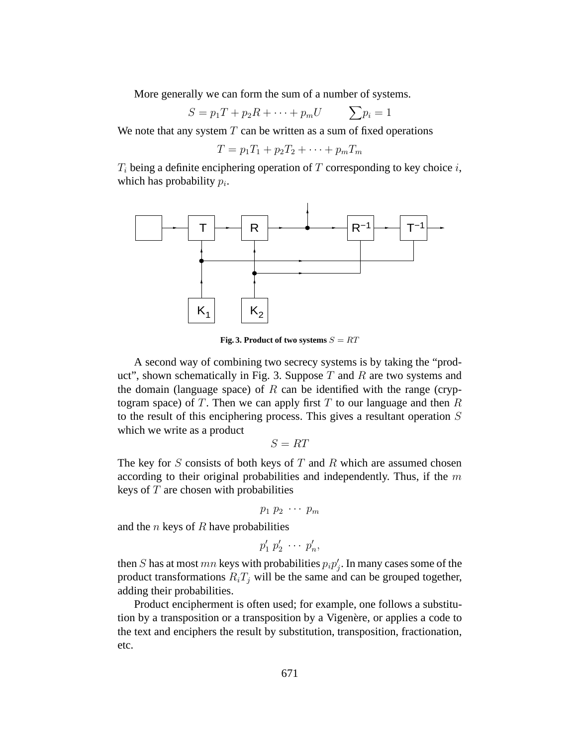More generally we can form the sum of a number of systems.

$$
S = p_1 T + p_2 R + \dots + p_m U \qquad \sum p_i = 1
$$

We note that any system  $T$  can be written as a sum of fixed operations

$$
T = p_1T_1 + p_2T_2 + \cdots + p_mT_m
$$

 $T_i$  being a definite enciphering operation of T corresponding to key choice i, which has probability  $p_i$ .



**Fig.** 3. Product of two systems  $S = RT$ 

A second way of combining two secrecy systems is by taking the "product", shown schematically in Fig. 3. Suppose  $T$  and  $R$  are two systems and the domain (language space) of  $R$  can be identified with the range (cryptogram space) of T. Then we can apply first T to our language and then  $R$ to the result of this enciphering process. This gives a resultant operation S which we write as a product

 $S = RT$ 

The key for  $S$  consists of both keys of  $T$  and  $R$  which are assumed chosen according to their original probabilities and independently. Thus, if the  $m$ keys of  $T$  are chosen with probabilities

$$
p_1\ p_2\ \cdots\ p_m
$$

and the  $n$  keys of  $R$  have probabilities

$$
p'_1 p'_2 \cdots p'_n,
$$

then S has at most  $mn$  keys with probabilities  $p_i p_j'$  $'_{j}$ . In many cases some of the product transformations  $R_iT_j$  will be the same and can be grouped together, adding their probabilities.

Product encipherment is often used; for example, one follows a substitution by a transposition or a transposition by a Vigenère, or applies a code to the text and enciphers the result by substitution, transposition, fractionation, etc.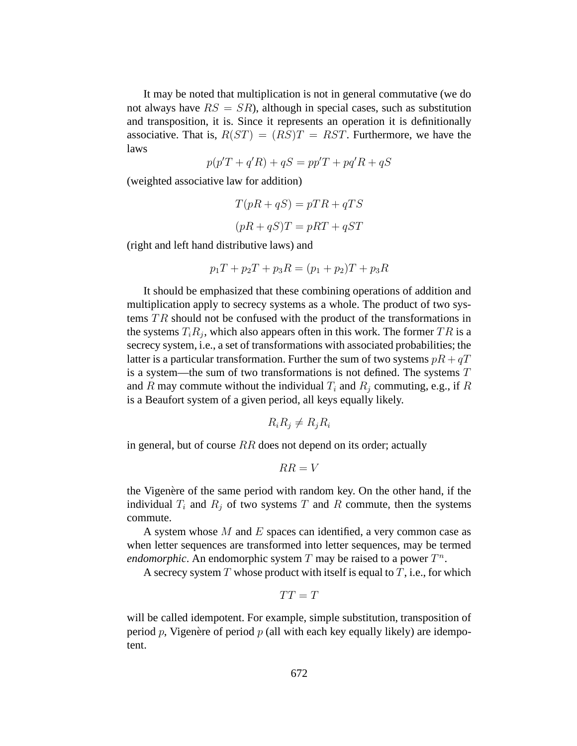It may be noted that multiplication is not in general commutative (we do not always have  $RS = SR$ ), although in special cases, such as substitution and transposition, it is. Since it represents an operation it is definitionally associative. That is,  $R(ST) = (RS)T = RST$ . Furthermore, we have the laws

$$
p(p'T + q'R) + qS = pp'T + pq'R + qS
$$

(weighted associative law for addition)

$$
T(pR + qS) = pTR + qTS
$$

$$
(pR + qS)T = pRT + qST
$$

(right and left hand distributive laws) and

$$
p_1T + p_2T + p_3R = (p_1 + p_2)T + p_3R
$$

It should be emphasized that these combining operations of addition and multiplication apply to secrecy systems as a whole. The product of two systems TR should not be confused with the product of the transformations in the systems  $T_i R_j$ , which also appears often in this work. The former  $TR$  is a secrecy system, i.e., a set of transformations with associated probabilities; the latter is a particular transformation. Further the sum of two systems  $pR + qT$ is a system—the sum of two transformations is not defined. The systems T and R may commute without the individual  $T_i$  and  $R_j$  commuting, e.g., if R is a Beaufort system of a given period, all keys equally likely.

$$
R_i R_j \neq R_j R_i
$$

in general, but of course  $RR$  does not depend on its order; actually

$$
RR = V
$$

the Vigenère of the same period with random key. On the other hand, if the individual  $T_i$  and  $R_j$  of two systems T and R commute, then the systems commute.

A system whose  $M$  and  $E$  spaces can identified, a very common case as when letter sequences are transformed into letter sequences, may be termed *endomorphic*. An endomorphic system  $T$  may be raised to a power  $T^n$ .

A secrecy system T whose product with itself is equal to T, i.e., for which

$$
TT = T
$$

will be called idempotent. For example, simple substitution, transposition of period p, Vigenère of period  $p$  (all with each key equally likely) are idempotent.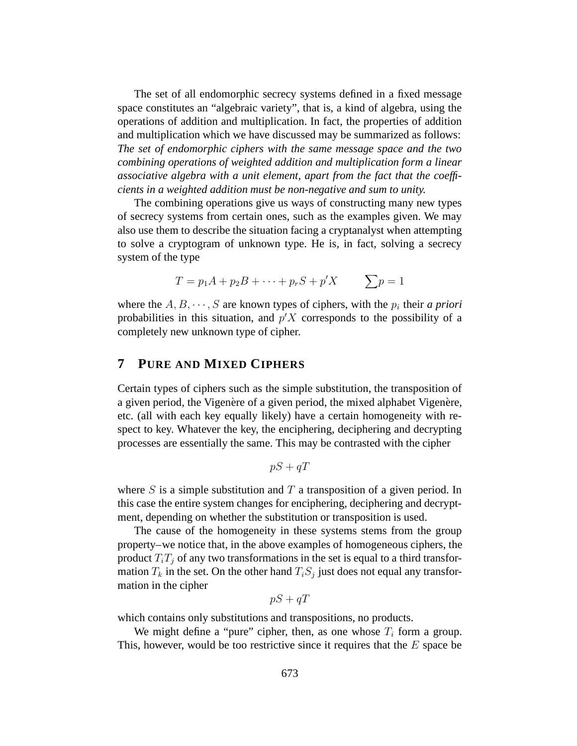The set of all endomorphic secrecy systems defined in a fixed message space constitutes an "algebraic variety", that is, a kind of algebra, using the operations of addition and multiplication. In fact, the properties of addition and multiplication which we have discussed may be summarized as follows: *The set of endomorphic ciphers with the same message space and the two combining operations of weighted addition and multiplication form a linear associative algebra with a unit element, apart from the fact that the coefficients in a weighted addition must be non-negative and sum to unity.*

The combining operations give us ways of constructing many new types of secrecy systems from certain ones, such as the examples given. We may also use them to describe the situation facing a cryptanalyst when attempting to solve a cryptogram of unknown type. He is, in fact, solving a secrecy system of the type

$$
T = p_1 A + p_2 B + \dots + p_r S + p' X \qquad \sum p = 1
$$

where the  $A, B, \dots, S$  are known types of ciphers, with the  $p_i$  their *a priori* probabilities in this situation, and  $p'X$  corresponds to the possibility of a completely new unknown type of cipher.

# **7 PURE AND MIXED CIPHERS**

Certain types of ciphers such as the simple substitution, the transposition of a given period, the Vigenère of a given period, the mixed alphabet Vigenère, etc. (all with each key equally likely) have a certain homogeneity with respect to key. Whatever the key, the enciphering, deciphering and decrypting processes are essentially the same. This may be contrasted with the cipher

$$
pS + qT
$$

where S is a simple substitution and T a transposition of a given period. In this case the entire system changes for enciphering, deciphering and decryptment, depending on whether the substitution or transposition is used.

The cause of the homogeneity in these systems stems from the group property–we notice that, in the above examples of homogeneous ciphers, the product  $T_iT_j$  of any two transformations in the set is equal to a third transformation  $T_k$  in the set. On the other hand  $T_iS_j$  just does not equal any transformation in the cipher

$$
pS + qT
$$

which contains only substitutions and transpositions, no products.

We might define a "pure" cipher, then, as one whose  $T_i$  form a group. This, however, would be too restrictive since it requires that the  $E$  space be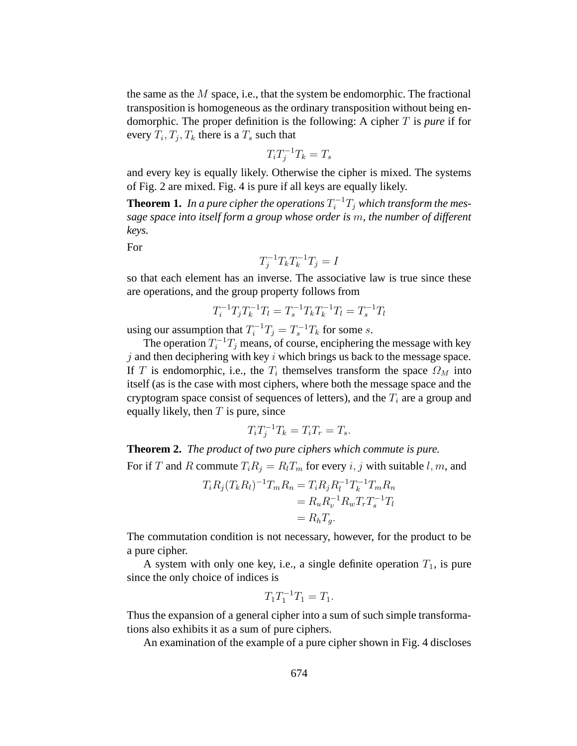the same as the  $M$  space, i.e., that the system be endomorphic. The fractional transposition is homogeneous as the ordinary transposition without being endomorphic. The proper definition is the following: A cipher T is *pure* if for every  $T_i, T_j, T_k$  there is a  $T_s$  such that

$$
T_i T_j^{-1} T_k = T_s
$$

and every key is equally likely. Otherwise the cipher is mixed. The systems of Fig. 2 are mixed. Fig. 4 is pure if all keys are equally likely.

**Theorem 1.** In a pure cipher the operations  $T_i^{-1}T_j$  which transform the mes*sage space into itself form a group whose order is* m*, the number of different keys.*

For

$$
T_j^{-1}T_kT_k^{-1}T_j = I
$$

so that each element has an inverse. The associative law is true since these are operations, and the group property follows from

$$
T_i^{-1}T_jT_k^{-1}T_l=T_s^{-1}T_kT_k^{-1}T_l=T_s^{-1}T_l
$$

using our assumption that  $T_i^{-1}T_j = T_s^{-1}T_k$  for some s.

The operation  $T_i^{-1}T_j$  means, of course, enciphering the message with key  $j$  and then deciphering with key  $i$  which brings us back to the message space. If T is endomorphic, i.e., the  $T_i$  themselves transform the space  $\Omega_M$  into itself (as is the case with most ciphers, where both the message space and the cryptogram space consist of sequences of letters), and the  $T_i$  are a group and equally likely, then  $T$  is pure, since

$$
T_i T_j^{-1} T_k = T_i T_r = T_s.
$$

**Theorem 2.** *The product of two pure ciphers which commute is pure.* For if T and R commute  $T_i R_j = R_i T_m$  for every i, j with suitable l, m, and

$$
T_i R_j (T_k R_l)^{-1} T_m R_n = T_i R_j R_l^{-1} T_k^{-1} T_m R_n
$$
  
=  $R_u R_v^{-1} R_w T_r T_s^{-1} T_l$   
=  $R_h T_g$ .

The commutation condition is not necessary, however, for the product to be a pure cipher.

A system with only one key, i.e., a single definite operation  $T_1$ , is pure since the only choice of indices is

$$
T_1 T_1^{-1} T_1 = T_1.
$$

Thus the expansion of a general cipher into a sum of such simple transformations also exhibits it as a sum of pure ciphers.

An examination of the example of a pure cipher shown in Fig. 4 discloses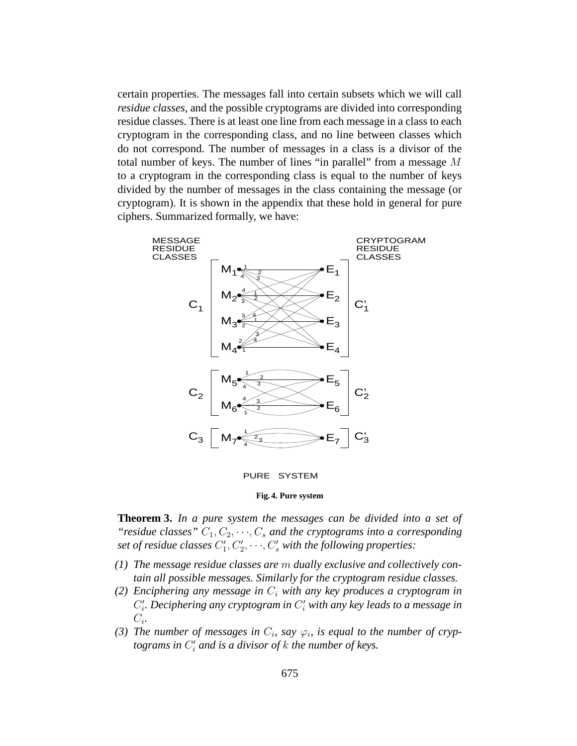certain properties. The messages fall into certain subsets which we will call *residue classes*, and the possible cryptograms are divided into corresponding residue classes. There is at least one line from each message in a class to each cryptogram in the corresponding class, and no line between classes which do not correspond. The number of messages in a class is a divisor of the total number of keys. The number of lines "in parallel" from a message M to a cryptogram in the corresponding class is equal to the number of keys divided by the number of messages in the class containing the message (or cryptogram). It is shown in the appendix that these hold in general for pure ciphers. Summarized formally, we have:





**Fig. 4. Pure system**

**Theorem 3.** *In a pure system the messages can be divided into a set of* "*residue classes"*  $C_1, C_2, \dots, C_s$  *and the cryptograms into a corresponding set of residue classes* C 0  $'_{1}, C'_{2}$  $C_2', \dots, C_s'$  with the following properties:

- *(1) The message residue classes are* m *dually exclusive and collectively contain all possible messages. Similarly for the cryptogram residue classes.*
- *(2) Enciphering any message in* C<sup>i</sup> *with any key produces a cryptogram in*  $C_i'$ i *. Deciphering any cryptogram in* C 0 <sup>i</sup> *with any key leads to a message in* Ci *.*
- *(3)* The number of messages in  $C_i$ , say  $\varphi_i$ , is equal to the number of cryptograms in  $C_i'$ i *and is a divisor of* k *the number of keys.*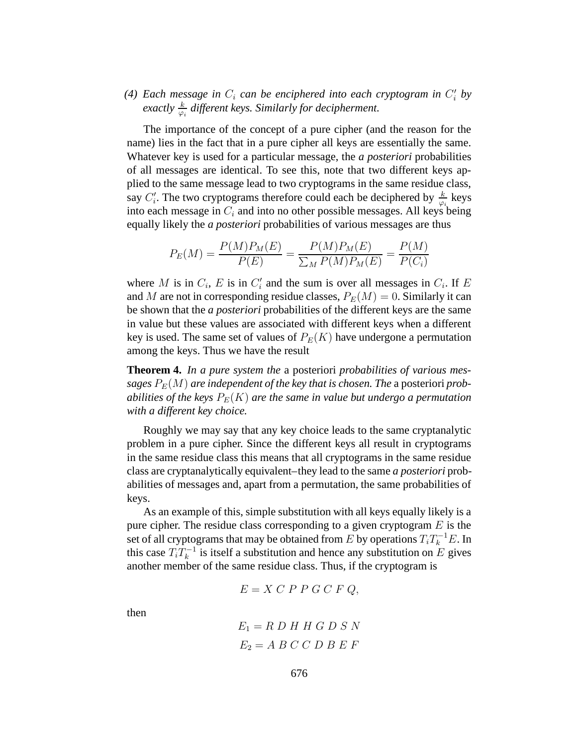(4) Each message in  $C_i$  can be enciphered into each cryptogram in  $C_i'$  by exactly  $\frac{k}{\varphi_i}$  different keys. Similarly for decipherment.

The importance of the concept of a pure cipher (and the reason for the name) lies in the fact that in a pure cipher all keys are essentially the same. Whatever key is used for a particular message, the *a posteriori* probabilities of all messages are identical. To see this, note that two different keys applied to the same message lead to two cryptograms in the same residue class, say  $C_i'$ ''. The two cryptograms therefore could each be deciphered by  $\frac{k}{\varphi_i}$  keys into each message in  $C_i$  and into no other possible messages. All keys being equally likely the *a posteriori* probabilities of various messages are thus

$$
P_E(M) = \frac{P(M)P_M(E)}{P(E)} = \frac{P(M)P_M(E)}{\sum_M P(M)P_M(E)} = \frac{P(M)}{P(C_i)}
$$

where M is in  $C_i$ , E is in  $C'_i$  $i'$  and the sum is over all messages in  $C_i$ . If E and M are not in corresponding residue classes,  $P_E(M) = 0$ . Similarly it can be shown that the *a posteriori* probabilities of the different keys are the same in value but these values are associated with different keys when a different key is used. The same set of values of  $P_E(K)$  have undergone a permutation among the keys. Thus we have the result

**Theorem 4.** *In a pure system the* a posteriori *probabilities of various messages*  $P_E(M)$  *are independent of the key that is chosen. The a posteriori <i>probabilities of the keys*  $P_E(K)$  *are the same in value but undergo a permutation with a different key choice.*

Roughly we may say that any key choice leads to the same cryptanalytic problem in a pure cipher. Since the different keys all result in cryptograms in the same residue class this means that all cryptograms in the same residue class are cryptanalytically equivalent–they lead to the same *a posteriori* probabilities of messages and, apart from a permutation, the same probabilities of keys.

As an example of this, simple substitution with all keys equally likely is a pure cipher. The residue class corresponding to a given cryptogram  $E$  is the set of all cryptograms that may be obtained from E by operations  $T_i T_k^{-1} E$ . In this case  $T_i T_k^{-1}$  is itself a substitution and hence any substitution on E gives another member of the same residue class. Thus, if the cryptogram is

$$
E = X \ C \ P \ P \ G \ C \ F \ Q,
$$

then

$$
E_1 = R D H H G D S N
$$
  

$$
E_2 = A B C C D B E F
$$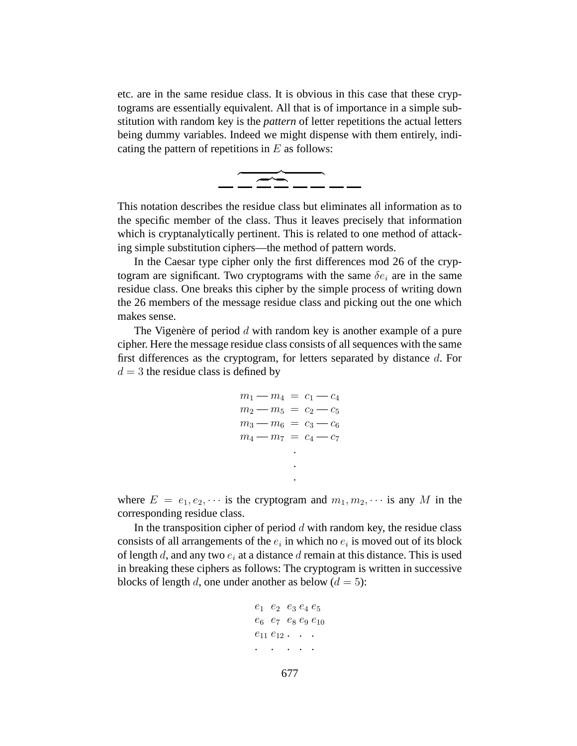etc. are in the same residue class. It is obvious in this case that these cryptograms are essentially equivalent. All that is of importance in a simple substitution with random key is the *pattern* of letter repetitions the actual letters being dummy variables. Indeed we might dispense with them entirely, indicating the pattern of repetitions in  $E$  as follows:



This notation describes the residue class but eliminates all information as to the specific member of the class. Thus it leaves precisely that information which is cryptanalytically pertinent. This is related to one method of attacking simple substitution ciphers—the method of pattern words.

In the Caesar type cipher only the first differences mod 26 of the cryptogram are significant. Two cryptograms with the same  $\delta e_i$  are in the same residue class. One breaks this cipher by the simple process of writing down the 26 members of the message residue class and picking out the one which makes sense.

The Vigenère of period  $d$  with random key is another example of a pure cipher. Here the message residue class consists of all sequences with the same first differences as the cryptogram, for letters separated by distance d. For  $d = 3$  the residue class is defined by

$$
m_1 - m_4 = c_1 - c_4
$$
  
\n
$$
m_2 - m_5 = c_2 - c_5
$$
  
\n
$$
m_3 - m_6 = c_3 - c_6
$$
  
\n
$$
m_4 - m_7 = c_4 - c_7
$$
  
\n
$$
\vdots
$$

where  $E = e_1, e_2, \cdots$  is the cryptogram and  $m_1, m_2, \cdots$  is any M in the corresponding residue class.

In the transposition cipher of period  $d$  with random key, the residue class consists of all arrangements of the  $e_i$  in which no  $e_i$  is moved out of its block of length d, and any two  $e_i$  at a distance d remain at this distance. This is used in breaking these ciphers as follows: The cryptogram is written in successive blocks of length d, one under another as below  $(d = 5)$ :

```
e_1 e_2 e_3 e_4 e_5e_6 e_7 e_8 e_9 e_{10}e_{11} e_{12} \ldots.
. . . . .
```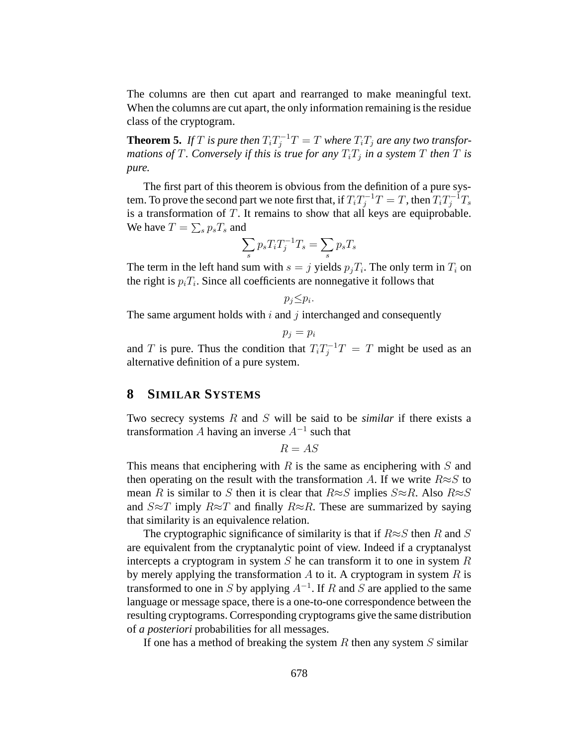The columns are then cut apart and rearranged to make meaningful text. When the columns are cut apart, the only information remaining is the residue class of the cryptogram.

**Theorem 5.** If T is pure then  $T_i T_j^{-1} T = T$  where  $T_i T_j$  are any two transfor*mations of*  $T$ *. Conversely if this is true for any*  $T_iT_j$  *in a system*  $T$  *then*  $T$  *is pure.*

The first part of this theorem is obvious from the definition of a pure system. To prove the second part we note first that, if  $T_iT_j^{-1}T = T$ , then  $T_iT_j^{-1}T_s$ is a transformation of  $T$ . It remains to show that all keys are equiprobable. We have  $T = \sum_s p_s T_s$  and

$$
\sum_s p_sT_iT_j^{-1}T_s=\sum_s p_sT_s
$$

The term in the left hand sum with  $s = j$  yields  $p_j T_i$ . The only term in  $T_i$  on the right is  $p_i T_i$ . Since all coefficients are nonnegative it follows that

$$
p_j \leq p_i.
$$

The same argument holds with  $i$  and  $j$  interchanged and consequently

 $p_i = p_i$ 

and T is pure. Thus the condition that  $T_i T_j^{-1} T = T$  might be used as an alternative definition of a pure system.

# **8 SIMILAR SYSTEMS**

Two secrecy systems R and S will be said to be *similar* if there exists a transformation A having an inverse  $A^{-1}$  such that

 $R = AS$ 

This means that enciphering with  $R$  is the same as enciphering with  $S$  and then operating on the result with the transformation A. If we write  $R \approx S$  to mean R is similar to S then it is clear that  $R \approx S$  implies  $S \approx R$ . Also  $R \approx S$ and  $S \approx T$  imply  $R \approx T$  and finally  $R \approx R$ . These are summarized by saying that similarity is an equivalence relation.

The cryptographic significance of similarity is that if  $R \approx S$  then R and S are equivalent from the cryptanalytic point of view. Indeed if a cryptanalyst intercepts a cryptogram in system  $S$  he can transform it to one in system  $R$ by merely applying the transformation  $A$  to it. A cryptogram in system  $R$  is transformed to one in S by applying  $A^{-1}$ . If R and S are applied to the same language or message space, there is a one-to-one correspondence between the resulting cryptograms. Corresponding cryptograms give the same distribution of *a posteriori* probabilities for all messages.

If one has a method of breaking the system R then any system  $S$  similar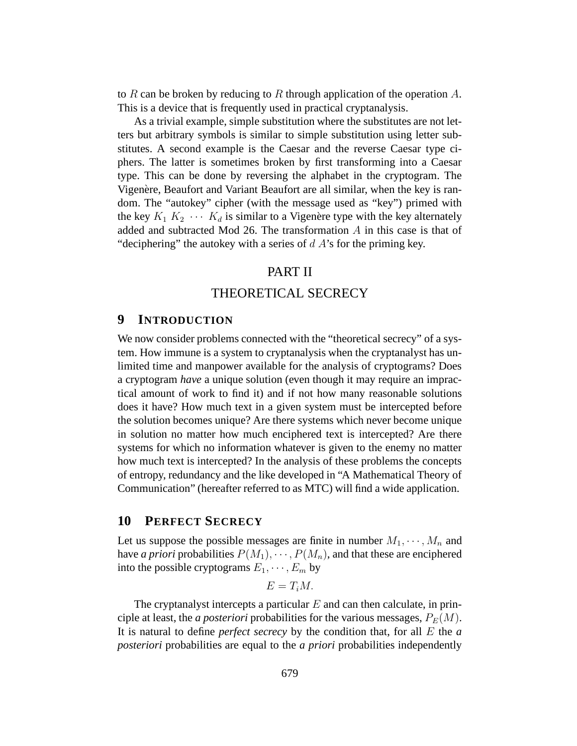to R can be broken by reducing to R through application of the operation A. This is a device that is frequently used in practical cryptanalysis.

As a trivial example, simple substitution where the substitutes are not letters but arbitrary symbols is similar to simple substitution using letter substitutes. A second example is the Caesar and the reverse Caesar type ciphers. The latter is sometimes broken by first transforming into a Caesar type. This can be done by reversing the alphabet in the cryptogram. The Vigenère, Beaufort and Variant Beaufort are all similar, when the key is random. The "autokey" cipher (with the message used as "key") primed with the key  $K_1 K_2 \cdots K_d$  is similar to a Vigenère type with the key alternately added and subtracted Mod 26. The transformation  $A$  in this case is that of "deciphering" the autokey with a series of  $dA$ 's for the priming key.

## PART II

## THEORETICAL SECRECY

## **9 INTRODUCTION**

We now consider problems connected with the "theoretical secrecy" of a system. How immune is a system to cryptanalysis when the cryptanalyst has unlimited time and manpower available for the analysis of cryptograms? Does a cryptogram *have* a unique solution (even though it may require an impractical amount of work to find it) and if not how many reasonable solutions does it have? How much text in a given system must be intercepted before the solution becomes unique? Are there systems which never become unique in solution no matter how much enciphered text is intercepted? Are there systems for which no information whatever is given to the enemy no matter how much text is intercepted? In the analysis of these problems the concepts of entropy, redundancy and the like developed in "A Mathematical Theory of Communication" (hereafter referred to as MTC) will find a wide application.

## **10 PERFECT SECRECY**

Let us suppose the possible messages are finite in number  $M_1, \dots, M_n$  and have *a priori* probabilities  $P(M_1), \cdots, P(M_n)$ , and that these are enciphered into the possible cryptograms  $E_1, \dots, E_m$  by

$$
E=T_iM.
$$

The cryptanalyst intercepts a particular  $E$  and can then calculate, in principle at least, the *a posteriori* probabilities for the various messages,  $P_E(M)$ . It is natural to define *perfect secrecy* by the condition that, for all E the *a posteriori* probabilities are equal to the *a priori* probabilities independently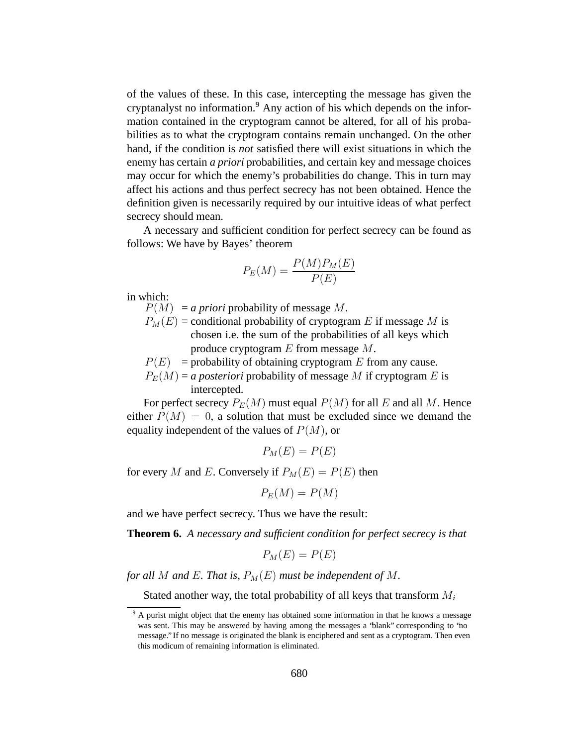of the values of these. In this case, intercepting the message has given the cryptanalyst no information.<sup>9</sup> Any action of his which depends on the information contained in the cryptogram cannot be altered, for all of his probabilities as to what the cryptogram contains remain unchanged. On the other hand, if the condition is *not* satisfied there will exist situations in which the enemy has certain *a priori* probabilities, and certain key and message choices may occur for which the enemy's probabilities do change. This in turn may affect his actions and thus perfect secrecy has not been obtained. Hence the definition given is necessarily required by our intuitive ideas of what perfect secrecy should mean.

A necessary and sufficient condition for perfect secrecy can be found as follows: We have by Bayes' theorem

$$
P_E(M) = \frac{P(M)P_M(E)}{P(E)}
$$

in which:

 $P(M) = a priori$  probability of message M.

- $P_M(E)$  = conditional probability of cryptogram E if message M is chosen i.e. the sum of the probabilities of all keys which produce cryptogram  $E$  from message  $M$ .
- $P(E)$  = probability of obtaining cryptogram E from any cause.

 $P_E(M) = a$  *posteriori* probability of message M if cryptogram E is intercepted.

For perfect secrecy  $P_E(M)$  must equal  $P(M)$  for all E and all M. Hence either  $P(M) = 0$ , a solution that must be excluded since we demand the equality independent of the values of  $P(M)$ , or

 $P_M(E) = P(E)$ 

for every M and E. Conversely if  $P_M(E) = P(E)$  then

 $P_E(M) = P(M)$ 

and we have perfect secrecy. Thus we have the result:

**Theorem 6.** *A necessary and sufficient condition for perfect secrecy is that*

$$
P_M(E) = P(E)
$$

*for all* M *and* E. *That is,*  $P_M(E)$  *must be independent of* M.

Stated another way, the total probability of all keys that transform  $M_i$ 

<sup>&</sup>lt;sup>9</sup> A purist might object that the enemy has obtained some information in that he knows a message was sent. This may be answered by having among the messages a "blank" corresponding to "no message." If no message is originated the blank is enciphered and sent as a cryptogram. Then even this modicum of remaining information is eliminated.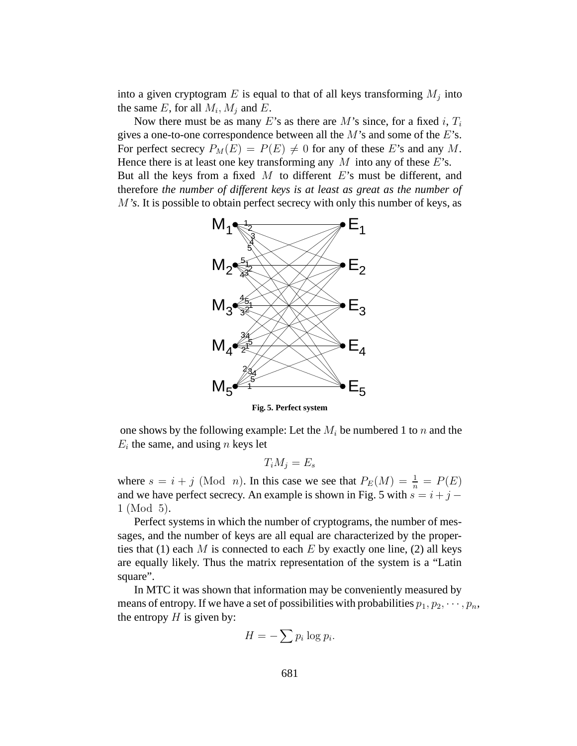into a given cryptogram E is equal to that of all keys transforming  $M_j$  into the same E, for all  $M_i$ ,  $M_j$  and E.

Now there must be as many E's as there are M's since, for a fixed i,  $T_i$ gives a one-to-one correspondence between all the  $M$ 's and some of the  $E$ 's. For perfect secrecy  $P_M(E) = P(E) \neq 0$  for any of these E's and any M. Hence there is at least one key transforming any  $M$  into any of these  $E$ 's. But all the keys from a fixed  $M$  to different  $E$ 's must be different, and therefore *the number of different keys is at least as great as the number of* M*'s*. It is possible to obtain perfect secrecy with only this number of keys, as



**Fig. 5. Perfect system**

one shows by the following example: Let the  $M_i$  be numbered 1 to n and the  $E_i$  the same, and using n keys let

$$
T_iM_j=E_s
$$

where  $s = i + j$  (Mod *n*). In this case we see that  $P_E(M) = \frac{1}{n} = P(E)$ and we have perfect secrecy. An example is shown in Fig. 5 with  $s = i + j - j$ 1 (Mod 5).

Perfect systems in which the number of cryptograms, the number of messages, and the number of keys are all equal are characterized by the properties that (1) each M is connected to each E by exactly one line, (2) all keys are equally likely. Thus the matrix representation of the system is a "Latin square".

In MTC it was shown that information may be conveniently measured by means of entropy. If we have a set of possibilities with probabilities  $p_1, p_2, \dots, p_n$ , the entropy  $H$  is given by:

$$
H = -\sum p_i \log p_i.
$$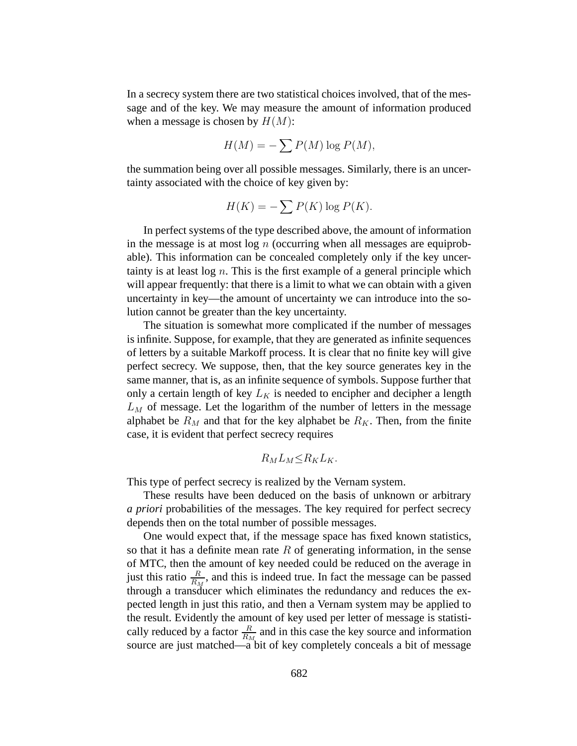In a secrecy system there are two statistical choices involved, that of the message and of the key. We may measure the amount of information produced when a message is chosen by  $H(M)$ :

$$
H(M) = -\sum P(M) \log P(M),
$$

the summation being over all possible messages. Similarly, there is an uncertainty associated with the choice of key given by:

$$
H(K) = -\sum P(K) \log P(K).
$$

In perfect systems of the type described above, the amount of information in the message is at most  $log n$  (occurring when all messages are equiprobable). This information can be concealed completely only if the key uncertainty is at least  $log n$ . This is the first example of a general principle which will appear frequently: that there is a limit to what we can obtain with a given uncertainty in key—the amount of uncertainty we can introduce into the solution cannot be greater than the key uncertainty.

The situation is somewhat more complicated if the number of messages is infinite. Suppose, for example, that they are generated as infinite sequences of letters by a suitable Markoff process. It is clear that no finite key will give perfect secrecy. We suppose, then, that the key source generates key in the same manner, that is, as an infinite sequence of symbols. Suppose further that only a certain length of key  $L_K$  is needed to encipher and decipher a length  $L_M$  of message. Let the logarithm of the number of letters in the message alphabet be  $R_M$  and that for the key alphabet be  $R_K$ . Then, from the finite case, it is evident that perfect secrecy requires

$$
R_M L_M \le R_K L_K.
$$

This type of perfect secrecy is realized by the Vernam system.

These results have been deduced on the basis of unknown or arbitrary *a priori* probabilities of the messages. The key required for perfect secrecy depends then on the total number of possible messages.

One would expect that, if the message space has fixed known statistics, so that it has a definite mean rate  $R$  of generating information, in the sense of MTC, then the amount of key needed could be reduced on the average in just this ratio  $\frac{R}{R_M}$ , and this is indeed true. In fact the message can be passed through a transducer which eliminates the redundancy and reduces the expected length in just this ratio, and then a Vernam system may be applied to the result. Evidently the amount of key used per letter of message is statistically reduced by a factor  $\frac{R}{R_M}$  and in this case the key source and information source are just matched—a bit of key completely conceals a bit of message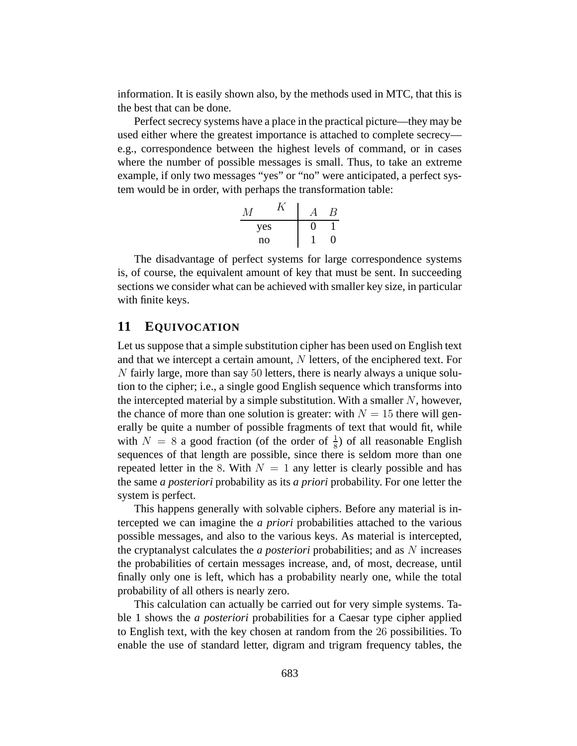information. It is easily shown also, by the methods used in MTC, that this is the best that can be done.

Perfect secrecy systems have a place in the practical picture—they may be used either where the greatest importance is attached to complete secrecy e.g., correspondence between the highest levels of command, or in cases where the number of possible messages is small. Thus, to take an extreme example, if only two messages "yes" or "no" were anticipated, a perfect system would be in order, with perhaps the transformation table:

$$
\begin{array}{c|cc}\nM & K & A & B \\
\hline\n\text{yes} & 0 & 1 \\
\text{no} & 1 & 0\n\end{array}
$$

The disadvantage of perfect systems for large correspondence systems is, of course, the equivalent amount of key that must be sent. In succeeding sections we consider what can be achieved with smaller key size, in particular with finite keys.

# **11 EQUIVOCATION**

Let us suppose that a simple substitution cipher has been used on English text and that we intercept a certain amount, N letters, of the enciphered text. For N fairly large, more than say 50 letters, there is nearly always a unique solution to the cipher; i.e., a single good English sequence which transforms into the intercepted material by a simple substitution. With a smaller  $N$ , however, the chance of more than one solution is greater: with  $N = 15$  there will generally be quite a number of possible fragments of text that would fit, while with  $N = 8$  a good fraction (of the order of  $\frac{1}{8}$ ) of all reasonable English sequences of that length are possible, since there is seldom more than one repeated letter in the 8. With  $N = 1$  any letter is clearly possible and has the same *a posteriori* probability as its *a priori* probability. For one letter the system is perfect.

This happens generally with solvable ciphers. Before any material is intercepted we can imagine the *a priori* probabilities attached to the various possible messages, and also to the various keys. As material is intercepted, the cryptanalyst calculates the *a posteriori* probabilities; and as N increases the probabilities of certain messages increase, and, of most, decrease, until finally only one is left, which has a probability nearly one, while the total probability of all others is nearly zero.

This calculation can actually be carried out for very simple systems. Table 1 shows the *a posteriori* probabilities for a Caesar type cipher applied to English text, with the key chosen at random from the 26 possibilities. To enable the use of standard letter, digram and trigram frequency tables, the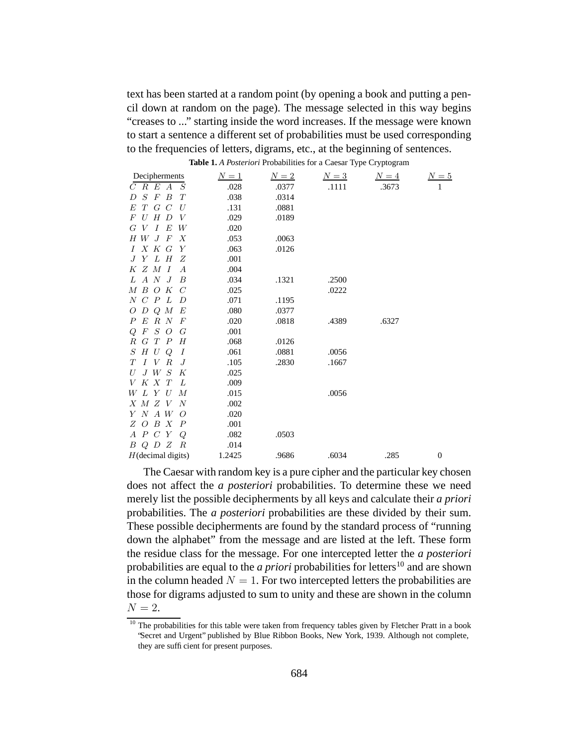text has been started at a random point (by opening a book and putting a pencil down at random on the page). The message selected in this way begins "creases to ..." starting inside the word increases. If the message were known to start a sentence a different set of probabilities must be used corresponding to the frequencies of letters, digrams, etc., at the beginning of sentences.

**Table 1.** *A Posteriori* Probabilities for a Caesar Type Cryptogram

| Decipherments                                      | $N=1$  | $N=2$ | $N=3$ | $N=4$ | $N=5$            |
|----------------------------------------------------|--------|-------|-------|-------|------------------|
| C R E A<br>$\boldsymbol{S}$                        | .028   | .0377 | .1111 | .3673 | 1                |
| $\cal F$<br>S<br>$\boldsymbol{B}$<br>T<br>D        | .038   | .0314 |       |       |                  |
| E T G C<br>U                                       | .131   | .0881 |       |       |                  |
| $\boldsymbol{F}$<br>$\overline{D}$<br>U<br>Н<br>V  | .029   | .0189 |       |       |                  |
| W<br>$G$ V<br>$\cal I$<br>E                        | .020   |       |       |       |                  |
| H W J F<br>$\boldsymbol{X}$                        | .053   | .0063 |       |       |                  |
| $I \times K$ G<br>Y                                | .063   | .0126 |       |       |                  |
| J Y L H<br>Ζ                                       | .001   |       |       |       |                  |
| K Z M<br>$\cal I$<br>$\boldsymbol{A}$              | .004   |       |       |       |                  |
| L A N J<br>B                                       | .034   | .1321 | .2500 |       |                  |
| M B O K<br>$\mathcal C$                            | .025   |       | .0222 |       |                  |
| L<br>$\boldsymbol{P}$<br>$N$ $C$<br>$\overline{D}$ | .071   | .1195 |       |       |                  |
| $D\ Q\ M$<br>E<br>O                                | .080   | .0377 |       |       |                  |
| R N<br>E<br>$\boldsymbol{P}$<br>$\,F$              | .020   | .0818 | .4389 | .6327 |                  |
| $\boldsymbol{F}$<br>$S$ O<br>Q<br>G                | .001   |       |       |       |                  |
| R G T P<br>H                                       | .068   | .0126 |       |       |                  |
| $S_{\cdot}$<br>H U<br>Q<br>Ι                       | .061   | .0881 | .0056 |       |                  |
| T<br>$\boldsymbol{R}$<br>$I$ V<br>J                | .105   | .2830 | .1667 |       |                  |
| $J$ W $S$<br>K<br>U                                | .025   |       |       |       |                  |
| $V$ K X<br>L<br>T                                  | .009   |       |       |       |                  |
| WLYU<br>$\boldsymbol{M}$                           | .015   |       | .0056 |       |                  |
| $X$ M Z V<br>N                                     | .002   |       |       |       |                  |
| $Y$ N A W<br>O                                     | .020   |       |       |       |                  |
| $Z$ O B X<br>$\boldsymbol{P}$                      | .001   |       |       |       |                  |
| $A\ P\ C\ Y$<br>Q                                  | .082   | .0503 |       |       |                  |
| $B$ $Q$ $D$ $Z$<br>$\, R \,$                       | .014   |       |       |       |                  |
| $H$ (decimal digits)                               | 1.2425 | .9686 | .6034 | .285  | $\boldsymbol{0}$ |
|                                                    |        |       |       |       |                  |

The Caesar with random key is a pure cipher and the particular key chosen does not affect the *a posteriori* probabilities. To determine these we need merely list the possible decipherments by all keys and calculate their *a priori* probabilities. The *a posteriori* probabilities are these divided by their sum. These possible decipherments are found by the standard process of "running down the alphabet" from the message and are listed at the left. These form the residue class for the message. For one intercepted letter the *a posteriori* probabilities are equal to the *a priori* probabilities for letters<sup>10</sup> and are shown in the column headed  $N = 1$ . For two intercepted letters the probabilities are those for digrams adjusted to sum to unity and these are shown in the column  $N=2$ .

 $10$  The probabilities for this table were taken from frequency tables given by Fletcher Pratt in a book "Secret and Urgent" published by Blue Ribbon Books, New York, 1939. Although not complete, they are sufficient for present purposes.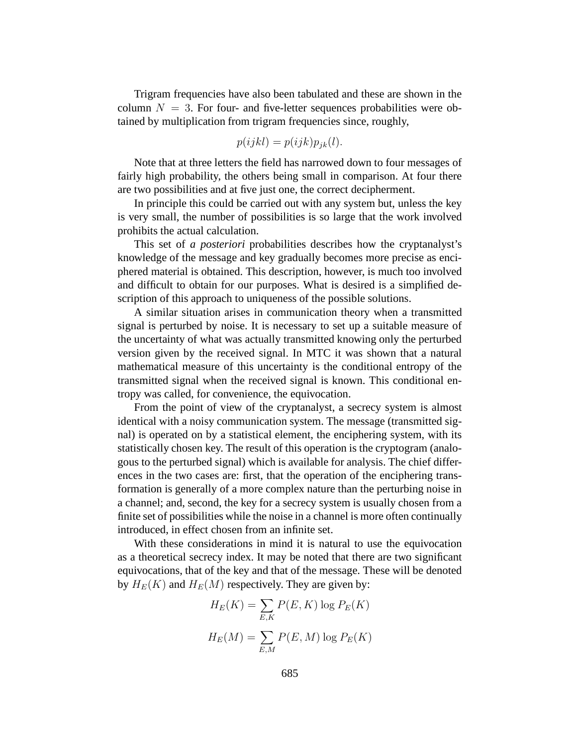Trigram frequencies have also been tabulated and these are shown in the column  $N = 3$ . For four- and five-letter sequences probabilities were obtained by multiplication from trigram frequencies since, roughly,

$$
p(ijkl) = p(ijk)p_{jk}(l).
$$

Note that at three letters the field has narrowed down to four messages of fairly high probability, the others being small in comparison. At four there are two possibilities and at five just one, the correct decipherment.

In principle this could be carried out with any system but, unless the key is very small, the number of possibilities is so large that the work involved prohibits the actual calculation.

This set of *a posteriori* probabilities describes how the cryptanalyst's knowledge of the message and key gradually becomes more precise as enciphered material is obtained. This description, however, is much too involved and difficult to obtain for our purposes. What is desired is a simplified description of this approach to uniqueness of the possible solutions.

A similar situation arises in communication theory when a transmitted signal is perturbed by noise. It is necessary to set up a suitable measure of the uncertainty of what was actually transmitted knowing only the perturbed version given by the received signal. In MTC it was shown that a natural mathematical measure of this uncertainty is the conditional entropy of the transmitted signal when the received signal is known. This conditional entropy was called, for convenience, the equivocation.

From the point of view of the cryptanalyst, a secrecy system is almost identical with a noisy communication system. The message (transmitted signal) is operated on by a statistical element, the enciphering system, with its statistically chosen key. The result of this operation is the cryptogram (analogous to the perturbed signal) which is available for analysis. The chief differences in the two cases are: first, that the operation of the enciphering transformation is generally of a more complex nature than the perturbing noise in a channel; and, second, the key for a secrecy system is usually chosen from a finite set of possibilities while the noise in a channel is more often continually introduced, in effect chosen from an infinite set.

With these considerations in mind it is natural to use the equivocation as a theoretical secrecy index. It may be noted that there are two significant equivocations, that of the key and that of the message. These will be denoted by  $H_E(K)$  and  $H_E(M)$  respectively. They are given by:

$$
H_E(K) = \sum_{E,K} P(E,K) \log P_E(K)
$$

$$
H_E(M) = \sum_{E,M} P(E,M) \log P_E(K)
$$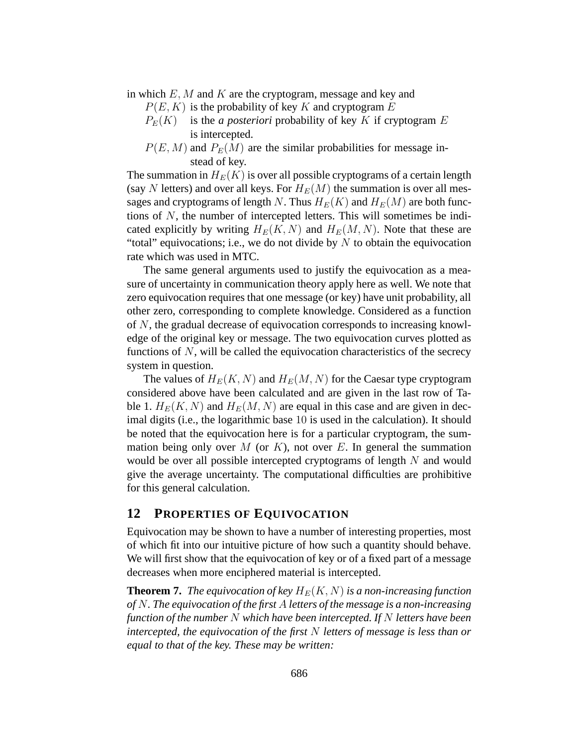in which  $E, M$  and  $K$  are the cryptogram, message and key and

- $P(E, K)$  is the probability of key K and cryptogram E
- $P_E(K)$  is the *a posteriori* probability of key K if cryptogram E is intercepted.
- $P(E, M)$  and  $P_E(M)$  are the similar probabilities for message instead of key.

The summation in  $H_E(K)$  is over all possible cryptograms of a certain length (say N letters) and over all keys. For  $H_E(M)$  the summation is over all messages and cryptograms of length N. Thus  $H_E(K)$  and  $H_E(M)$  are both functions of N, the number of intercepted letters. This will sometimes be indicated explicitly by writing  $H_E(K, N)$  and  $H_E(M, N)$ . Note that these are "total" equivocations; i.e., we do not divide by  $N$  to obtain the equivocation rate which was used in MTC.

The same general arguments used to justify the equivocation as a measure of uncertainty in communication theory apply here as well. We note that zero equivocation requires that one message (or key) have unit probability, all other zero, corresponding to complete knowledge. Considered as a function of N, the gradual decrease of equivocation corresponds to increasing knowledge of the original key or message. The two equivocation curves plotted as functions of  $N$ , will be called the equivocation characteristics of the secrecy system in question.

The values of  $H_E(K, N)$  and  $H_E(M, N)$  for the Caesar type cryptogram considered above have been calculated and are given in the last row of Table 1.  $H_E(K, N)$  and  $H_E(M, N)$  are equal in this case and are given in decimal digits (i.e., the logarithmic base 10 is used in the calculation). It should be noted that the equivocation here is for a particular cryptogram, the summation being only over  $M$  (or  $K$ ), not over  $E$ . In general the summation would be over all possible intercepted cryptograms of length N and would give the average uncertainty. The computational difficulties are prohibitive for this general calculation.

# **12 PROPERTIES OF EQUIVOCATION**

Equivocation may be shown to have a number of interesting properties, most of which fit into our intuitive picture of how such a quantity should behave. We will first show that the equivocation of key or of a fixed part of a message decreases when more enciphered material is intercepted.

**Theorem 7.** *The equivocation of key*  $H_E(K, N)$  *is a non-increasing function of* N*. The equivocation of the first* A *letters of the message is a non-increasing function of the number* N *which have been intercepted. If* N *letters have been intercepted, the equivocation of the first* N *letters of message is less than or equal to that of the key. These may be written:*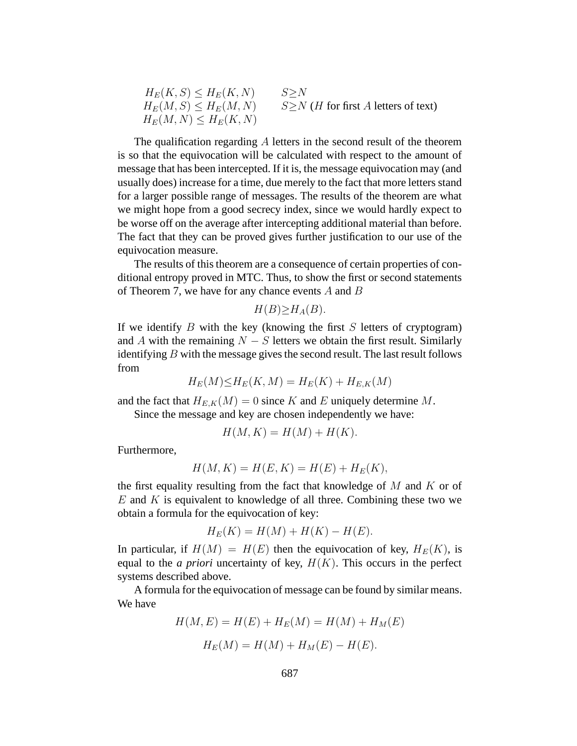$$
H_E(K, S) \le H_E(K, N)
$$
  
\n
$$
H_E(M, S) \le H_E(M, N)
$$
  
\n
$$
S \ge N
$$
 (*H* for first *A* letters of text)  
\n
$$
H_E(M, N) \le H_E(K, N)
$$

The qualification regarding A letters in the second result of the theorem is so that the equivocation will be calculated with respect to the amount of message that has been intercepted. If it is, the message equivocation may (and usually does) increase for a time, due merely to the fact that more letters stand for a larger possible range of messages. The results of the theorem are what we might hope from a good secrecy index, since we would hardly expect to be worse off on the average after intercepting additional material than before. The fact that they can be proved gives further justification to our use of the equivocation measure.

The results of this theorem are a consequence of certain properties of conditional entropy proved in MTC. Thus, to show the first or second statements of Theorem 7, we have for any chance events  $A$  and  $B$ 

$$
H(B) \ge H_A(B).
$$

If we identify  $B$  with the key (knowing the first  $S$  letters of cryptogram) and A with the remaining  $N - S$  letters we obtain the first result. Similarly identifying  $B$  with the message gives the second result. The last result follows from

$$
H_E(M) \le H_E(K,M) = H_E(K) + H_{E,K}(M)
$$

and the fact that  $H_{E,K}(M) = 0$  since K and E uniquely determine M.

Since the message and key are chosen independently we have:

$$
H(M, K) = H(M) + H(K).
$$

Furthermore,

$$
H(M, K) = H(E, K) = H(E) + H_E(K),
$$

the first equality resulting from the fact that knowledge of  $M$  and  $K$  or of  $E$  and  $K$  is equivalent to knowledge of all three. Combining these two we obtain a formula for the equivocation of key:

$$
H_E(K) = H(M) + H(K) - H(E).
$$

In particular, if  $H(M) = H(E)$  then the equivocation of key,  $H_E(K)$ , is equal to the *a priori* uncertainty of key,  $H(K)$ . This occurs in the perfect systems described above.

A formula for the equivocation of message can be found by similar means. We have

$$
H(M, E) = H(E) + H_E(M) = H(M) + H_M(E)
$$
  

$$
H_E(M) = H(M) + H_M(E) - H(E).
$$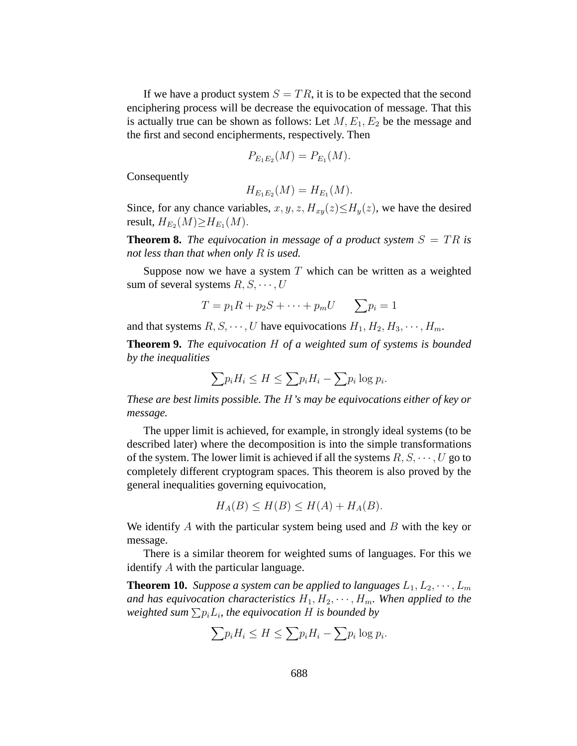If we have a product system  $S = TR$ , it is to be expected that the second enciphering process will be decrease the equivocation of message. That this is actually true can be shown as follows: Let  $M$ ,  $E_1$ ,  $E_2$  be the message and the first and second encipherments, respectively. Then

$$
P_{E_1E_2}(M) = P_{E_1}(M).
$$

Consequently

$$
H_{E_1E_2}(M) = H_{E_1}(M).
$$

Since, for any chance variables,  $x, y, z, H_{xy}(z) \leq H_y(z)$ , we have the desired result,  $H_{E_2}(M) {\geq} H_{E_1}(M).$ 

**Theorem 8.** The equivocation in message of a product system  $S = TR$  is *not less than that when only* R *is used.*

Suppose now we have a system  $T$  which can be written as a weighted sum of several systems  $R, S, \dots, U$ 

$$
T = p_1 R + p_2 S + \dots + p_m U \qquad \sum p_i = 1
$$

and that systems  $R, S, \dots, U$  have equivocations  $H_1, H_2, H_3, \dots, H_m$ .

**Theorem 9.** *The equivocation* H *of a weighted sum of systems is bounded by the inequalities*

$$
\sum p_i H_i \le H \le \sum p_i H_i - \sum p_i \log p_i.
$$

*These are best limits possible. The* H*'s may be equivocations either of key or message.*

The upper limit is achieved, for example, in strongly ideal systems (to be described later) where the decomposition is into the simple transformations of the system. The lower limit is achieved if all the systems  $R, S, \dots, U$  go to completely different cryptogram spaces. This theorem is also proved by the general inequalities governing equivocation,

$$
H_A(B) \le H(B) \le H(A) + H_A(B).
$$

We identify  $A$  with the particular system being used and  $B$  with the key or message.

There is a similar theorem for weighted sums of languages. For this we identify A with the particular language.

**Theorem 10.** *Suppose a system can be applied to languages*  $L_1, L_2, \cdots, L_m$ *and has equivocation characteristics*  $H_1, H_2, \cdots, H_m$ *. When applied to the* weighted sum  $\sum p_i L_i$ , the equivocation  $H$  is bounded by

$$
\sum p_i H_i \le H \le \sum p_i H_i - \sum p_i \log p_i.
$$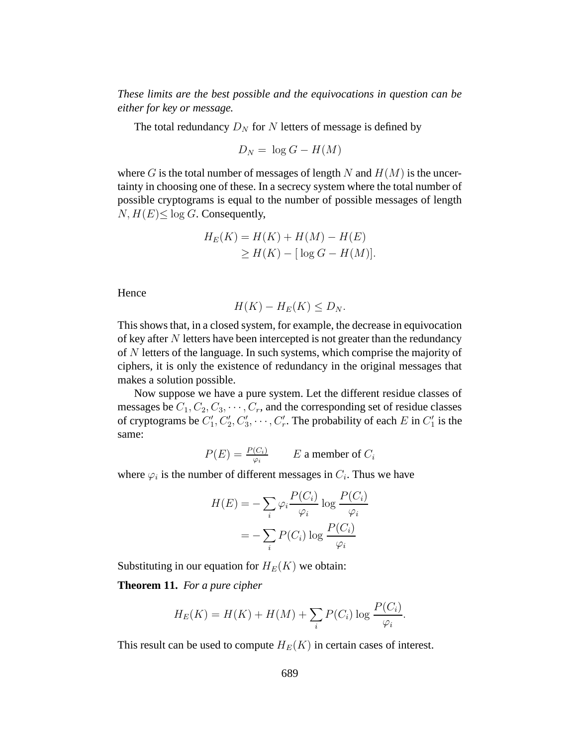*These limits are the best possible and the equivocations in question can be either for key or message.*

The total redundancy  $D<sub>N</sub>$  for N letters of message is defined by

$$
D_N = \log G - H(M)
$$

where G is the total number of messages of length N and  $H(M)$  is the uncertainty in choosing one of these. In a secrecy system where the total number of possible cryptograms is equal to the number of possible messages of length  $N, H(E) \leq \log G$ . Consequently,

$$
H_E(K) = H(K) + H(M) - H(E)
$$
  
\n
$$
\ge H(K) - [\log G - H(M)].
$$

Hence

$$
H(K) - H_E(K) \le D_N.
$$

This shows that, in a closed system, for example, the decrease in equivocation of key after  $N$  letters have been intercepted is not greater than the redundancy of N letters of the language. In such systems, which comprise the majority of ciphers, it is only the existence of redundancy in the original messages that makes a solution possible.

Now suppose we have a pure system. Let the different residue classes of messages be  $C_1, C_2, C_3, \cdots, C_r$ , and the corresponding set of residue classes of cryptograms be  $C_1'$  $'_{1}, C'_{2}$  $C'_3, C'_3$  $C'_3,\cdots,C'_r$ <sup>"</sup>, The probability of each E in  $C_1'$  $i_1$  is the same:

$$
P(E) = \frac{P(C_i)}{\varphi_i} \qquad E \text{ a member of } C_i
$$

where  $\varphi_i$  is the number of different messages in  $C_i$ . Thus we have

$$
H(E) = -\sum_{i} \varphi_i \frac{P(C_i)}{\varphi_i} \log \frac{P(C_i)}{\varphi_i}
$$

$$
= -\sum_{i} P(C_i) \log \frac{P(C_i)}{\varphi_i}
$$

Substituting in our equation for  $H_E(K)$  we obtain:

**Theorem 11.** *For a pure cipher*

$$
H_E(K) = H(K) + H(M) + \sum_i P(C_i) \log \frac{P(C_i)}{\varphi_i}.
$$

This result can be used to compute  $H_E(K)$  in certain cases of interest.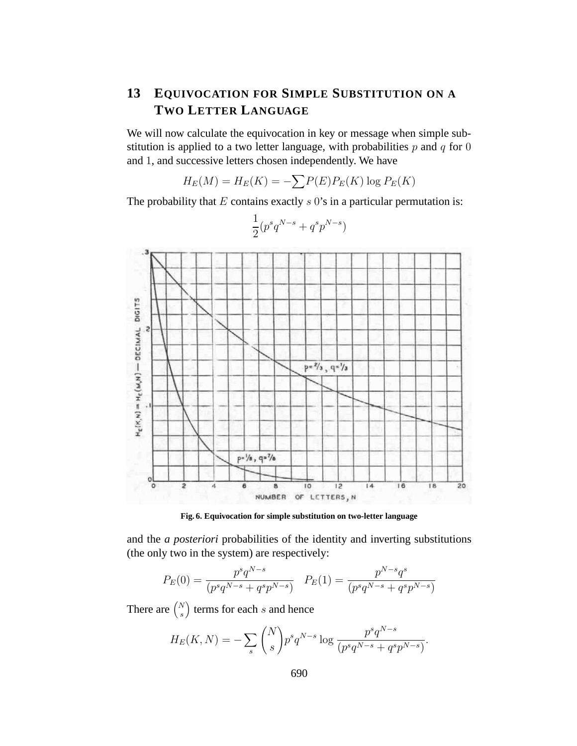# **13 EQUIVOCATION FOR SIMPLE SUBSTITUTION ON A TWO LETTER LANGUAGE**

We will now calculate the equivocation in key or message when simple substitution is applied to a two letter language, with probabilities  $p$  and  $q$  for 0 and 1, and successive letters chosen independently. We have

$$
H_E(M) = H_E(K) = -\sum P(E)P_E(K) \log P_E(K)
$$

The probability that  $E$  contains exactly  $s$  0's in a particular permutation is:

4



$$
\frac{1}{2}(p^sq^{N-s} + q^sp^{N-s})
$$

**Fig. 6. Equivocation for simple substitution on two-letter language**

and the *a posteriori* probabilities of the identity and inverting substitutions (the only two in the system) are respectively:

$$
P_E(0) = \frac{p^s q^{N-s}}{(p^s q^{N-s} + q^s p^{N-s})} \quad P_E(1) = \frac{p^{N-s} q^s}{(p^s q^{N-s} + q^s p^{N-s})}
$$

There are  $\binom{N}{s}$ s  $\int$  terms for each s and hence

$$
H_E(K, N) = -\sum_{s} {N \choose s} p^s q^{N-s} \log \frac{p^s q^{N-s}}{(p^s q^{N-s} + q^s p^{N-s})}.
$$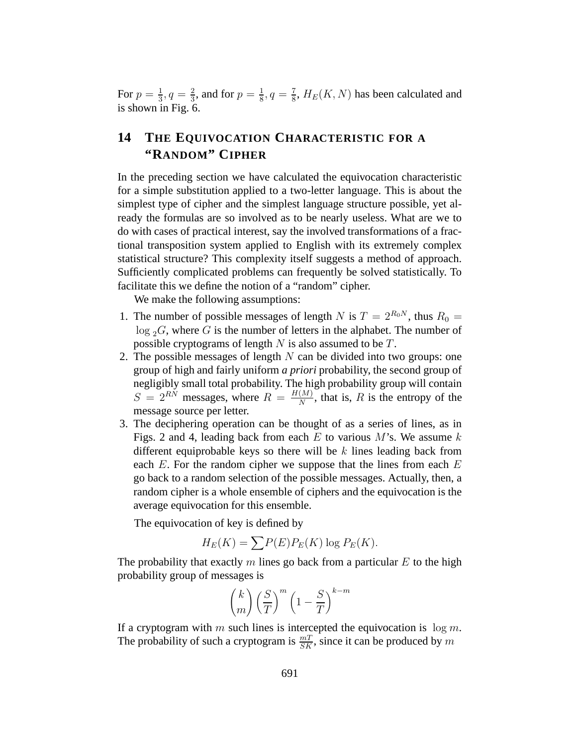For  $p=\frac{1}{3}$  $\frac{1}{3}, q = \frac{2}{3}$  $\frac{2}{3}$ , and for  $p = \frac{1}{8}$  $\frac{1}{8}, q = \frac{7}{8}$  $\frac{7}{8}$ ,  $H_E(K, N)$  has been calculated and is shown in Fig. 6.

# **14 THE EQUIVOCATION CHARACTERISTIC FOR A "RANDOM" CIPHER**

In the preceding section we have calculated the equivocation characteristic for a simple substitution applied to a two-letter language. This is about the simplest type of cipher and the simplest language structure possible, yet already the formulas are so involved as to be nearly useless. What are we to do with cases of practical interest, say the involved transformations of a fractional transposition system applied to English with its extremely complex statistical structure? This complexity itself suggests a method of approach. Sufficiently complicated problems can frequently be solved statistically. To facilitate this we define the notion of a "random" cipher.

We make the following assumptions:

- 1. The number of possible messages of length N is  $T = 2^{R_0 N}$ , thus  $R_0 =$  $\log_{2}G$ , where G is the number of letters in the alphabet. The number of possible cryptograms of length  $N$  is also assumed to be  $T$ .
- 2. The possible messages of length  $N$  can be divided into two groups: one group of high and fairly uniform *a priori* probability, the second group of negligibly small total probability. The high probability group will contain  $S = 2^{RN}$  messages, where  $R = \frac{H(M)}{N}$  $\frac{(M)}{N}$ , that is, R is the entropy of the message source per letter.
- 3. The deciphering operation can be thought of as a series of lines, as in Figs. 2 and 4, leading back from each  $E$  to various  $M$ 's. We assume  $k$ different equiprobable keys so there will be  $k$  lines leading back from each  $E$ . For the random cipher we suppose that the lines from each  $E$ go back to a random selection of the possible messages. Actually, then, a random cipher is a whole ensemble of ciphers and the equivocation is the average equivocation for this ensemble.

The equivocation of key is defined by

$$
H_E(K) = \sum P(E) P_E(K) \log P_E(K).
$$

The probability that exactly m lines go back from a particular  $E$  to the high probability group of messages is

$$
\binom{k}{m} \left(\frac{S}{T}\right)^m \left(1 - \frac{S}{T}\right)^{k-m}
$$

If a cryptogram with m such lines is intercepted the equivocation is  $\log m$ . The probability of such a cryptogram is  $\frac{mT}{SK}$ , since it can be produced by m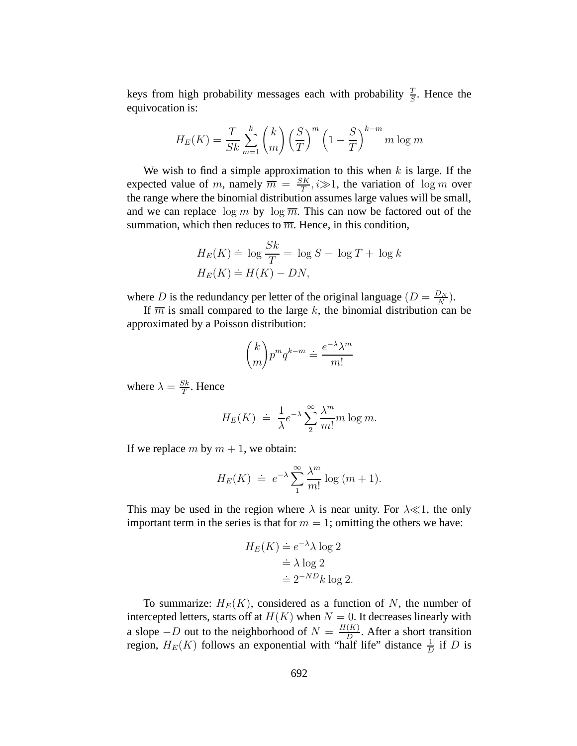keys from high probability messages each with probability  $\frac{T}{S}$ . Hence the equivocation is:

$$
H_E(K) = \frac{T}{Sk} \sum_{m=1}^{k} {k \choose m} \left(\frac{S}{T}\right)^m \left(1 - \frac{S}{T}\right)^{k-m} m \log m
$$

We wish to find a simple approximation to this when  $k$  is large. If the expected value of m, namely  $\overline{m} = \frac{SK}{T}$  $\frac{\partial K}{\partial T}$ ,  $i \gg 1$ , the variation of  $\log m$  over the range where the binomial distribution assumes large values will be small, and we can replace  $\log m$  by  $\log \overline{m}$ . This can now be factored out of the summation, which then reduces to  $\overline{m}$ . Hence, in this condition,

$$
H_E(K) \doteq \log \frac{Sk}{T} = \log S - \log T + \log k
$$
  

$$
H_E(K) \doteq H(K) - DN,
$$

where D is the redundancy per letter of the original language  $(D = \frac{D_N}{N})$  $\frac{D_N}{N}).$ 

If  $\overline{m}$  is small compared to the large k, the binomial distribution can be approximated by a Poisson distribution:

$$
\binom{k}{m}p^mq^{k-m}\doteq\frac{e^{-\lambda}\lambda^m}{m!}
$$

where  $\lambda = \frac{Sk}{T}$  $\frac{Sk}{T}$ . Hence

$$
H_E(K) \doteq \frac{1}{\lambda} e^{-\lambda} \sum_{n=2}^{\infty} \frac{\lambda^m}{m!} m \log m.
$$

If we replace m by  $m + 1$ , we obtain:

$$
H_E(K) \doteq e^{-\lambda} \sum_{1}^{\infty} \frac{\lambda^m}{m!} \log (m+1).
$$

This may be used in the region where  $\lambda$  is near unity. For  $\lambda \ll 1$ , the only important term in the series is that for  $m = 1$ ; omitting the others we have:

$$
H_E(K) \doteq e^{-\lambda} \lambda \log 2
$$
  
\n
$$
\doteq \lambda \log 2
$$
  
\n
$$
\doteq 2^{-ND} k \log 2.
$$

To summarize:  $H_E(K)$ , considered as a function of N, the number of intercepted letters, starts off at  $H(K)$  when  $N = 0$ . It decreases linearly with a slope  $-D$  out to the neighborhood of  $N = \frac{H(K)}{D}$  $\frac{(K)}{D}$ . After a short transition region,  $H_E(K)$  follows an exponential with "half life" distance  $\frac{1}{D}$  if D is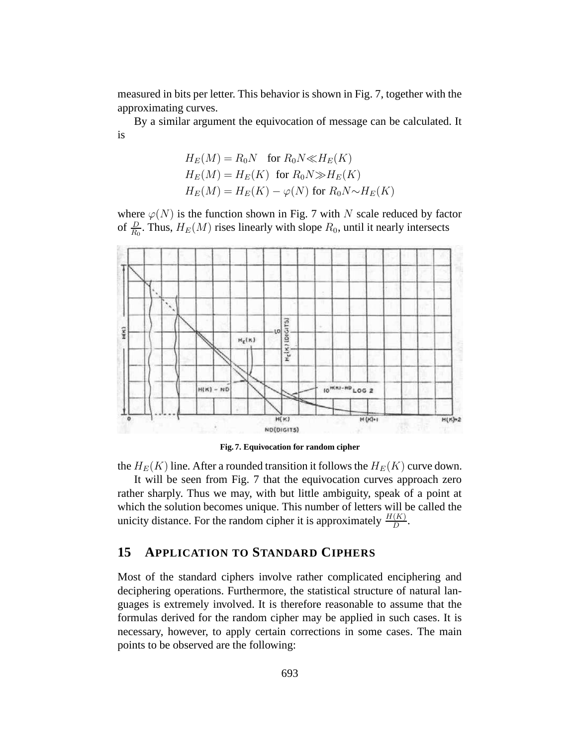measured in bits per letter. This behavior is shown in Fig. 7, together with the approximating curves.

By a similar argument the equivocation of message can be calculated. It is

$$
H_E(M) = R_0 N \text{ for } R_0 N \ll H_E(K)
$$
  
\n
$$
H_E(M) = H_E(K) \text{ for } R_0 N \gg H_E(K)
$$
  
\n
$$
H_E(M) = H_E(K) - \varphi(N) \text{ for } R_0 N \sim H_E(K)
$$

where  $\varphi(N)$  is the function shown in Fig. 7 with N scale reduced by factor of  $\frac{D}{R_0}$ . Thus,  $H_E(M)$  rises linearly with slope  $R_0$ , until it nearly intersects



**Fig. 7. Equivocation for random cipher**

the  $H_E(K)$  line. After a rounded transition it follows the  $H_E(K)$  curve down.

It will be seen from Fig. 7 that the equivocation curves approach zero rather sharply. Thus we may, with but little ambiguity, speak of a point at which the solution becomes unique. This number of letters will be called the unicity distance. For the random cipher it is approximately  $\frac{H(K)}{D}$ .

# **15 APPLICATION TO STANDARD CIPHERS**

Most of the standard ciphers involve rather complicated enciphering and deciphering operations. Furthermore, the statistical structure of natural languages is extremely involved. It is therefore reasonable to assume that the formulas derived for the random cipher may be applied in such cases. It is necessary, however, to apply certain corrections in some cases. The main points to be observed are the following: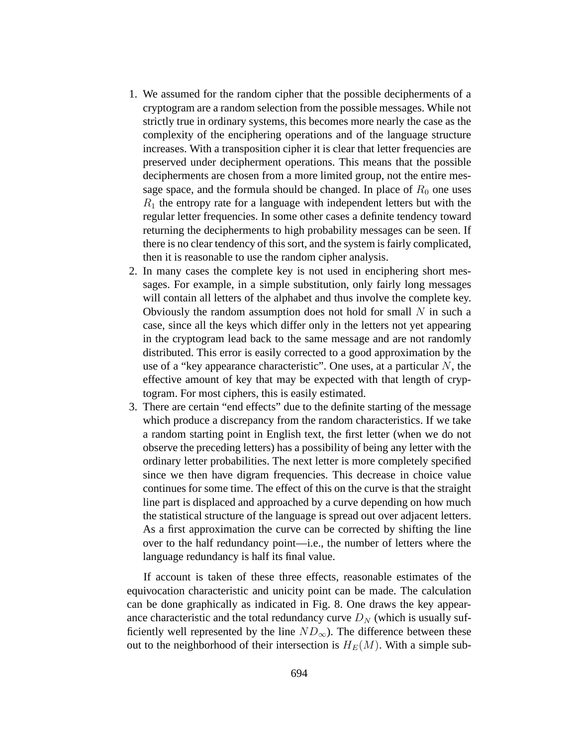- 1. We assumed for the random cipher that the possible decipherments of a cryptogram are a random selection from the possible messages. While not strictly true in ordinary systems, this becomes more nearly the case as the complexity of the enciphering operations and of the language structure increases. With a transposition cipher it is clear that letter frequencies are preserved under decipherment operations. This means that the possible decipherments are chosen from a more limited group, not the entire message space, and the formula should be changed. In place of  $R_0$  one uses  $R_1$  the entropy rate for a language with independent letters but with the regular letter frequencies. In some other cases a definite tendency toward returning the decipherments to high probability messages can be seen. If there is no clear tendency of this sort, and the system is fairly complicated, then it is reasonable to use the random cipher analysis.
- 2. In many cases the complete key is not used in enciphering short messages. For example, in a simple substitution, only fairly long messages will contain all letters of the alphabet and thus involve the complete key. Obviously the random assumption does not hold for small  $N$  in such a case, since all the keys which differ only in the letters not yet appearing in the cryptogram lead back to the same message and are not randomly distributed. This error is easily corrected to a good approximation by the use of a "key appearance characteristic". One uses, at a particular  $N$ , the effective amount of key that may be expected with that length of cryptogram. For most ciphers, this is easily estimated.
- 3. There are certain "end effects" due to the definite starting of the message which produce a discrepancy from the random characteristics. If we take a random starting point in English text, the first letter (when we do not observe the preceding letters) has a possibility of being any letter with the ordinary letter probabilities. The next letter is more completely specified since we then have digram frequencies. This decrease in choice value continues for some time. The effect of this on the curve is that the straight line part is displaced and approached by a curve depending on how much the statistical structure of the language is spread out over adjacent letters. As a first approximation the curve can be corrected by shifting the line over to the half redundancy point—i.e., the number of letters where the language redundancy is half its final value.

If account is taken of these three effects, reasonable estimates of the equivocation characteristic and unicity point can be made. The calculation can be done graphically as indicated in Fig. 8. One draws the key appearance characteristic and the total redundancy curve  $D<sub>N</sub>$  (which is usually sufficiently well represented by the line  $ND_{\infty}$ ). The difference between these out to the neighborhood of their intersection is  $H_E(M)$ . With a simple sub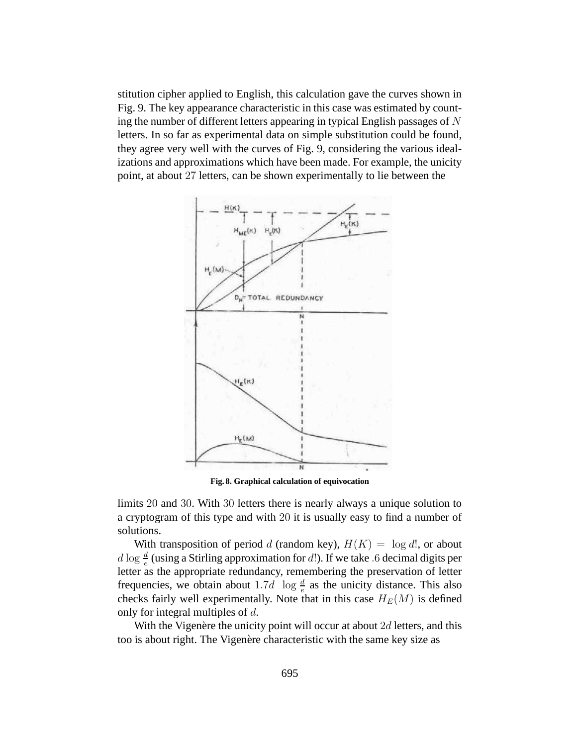stitution cipher applied to English, this calculation gave the curves shown in Fig. 9. The key appearance characteristic in this case was estimated by counting the number of different letters appearing in typical English passages of  $N$ letters. In so far as experimental data on simple substitution could be found, they agree very well with the curves of Fig. 9, considering the various idealizations and approximations which have been made. For example, the unicity point, at about 27 letters, can be shown experimentally to lie between the



**Fig. 8. Graphical calculation of equivocation**

limits 20 and 30. With 30 letters there is nearly always a unique solution to a cryptogram of this type and with 20 it is usually easy to find a number of solutions.

With transposition of period d (random key),  $H(K) = \log d!$ , or about  $d \log \frac{d}{e}$  (using a Stirling approximation for  $d!$ ). If we take .6 decimal digits per letter as the appropriate redundancy, remembering the preservation of letter frequencies, we obtain about 1.7d  $\log \frac{d}{e}$  as the unicity distance. This also checks fairly well experimentally. Note that in this case  $H_E(M)$  is defined only for integral multiples of d.

With the Vigenère the unicity point will occur at about  $2d$  letters, and this too is about right. The Vigenère characteristic with the same key size as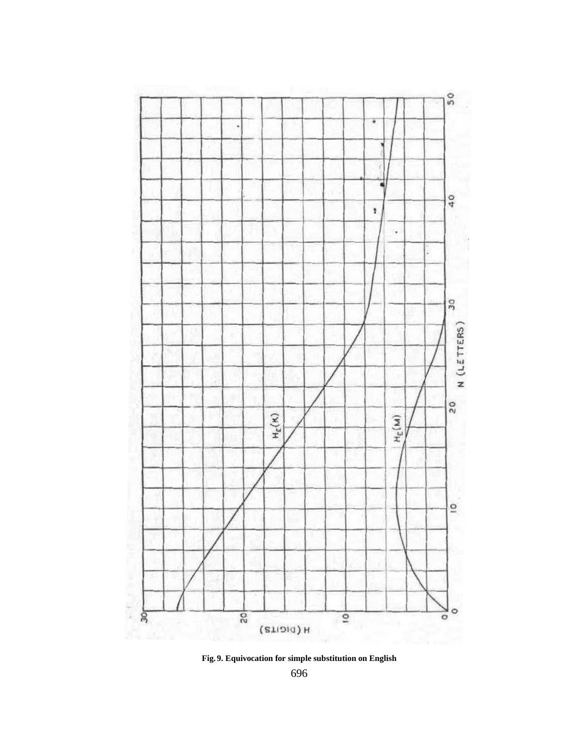

**Fig. 9. Equivocation for simple substitution on English**

696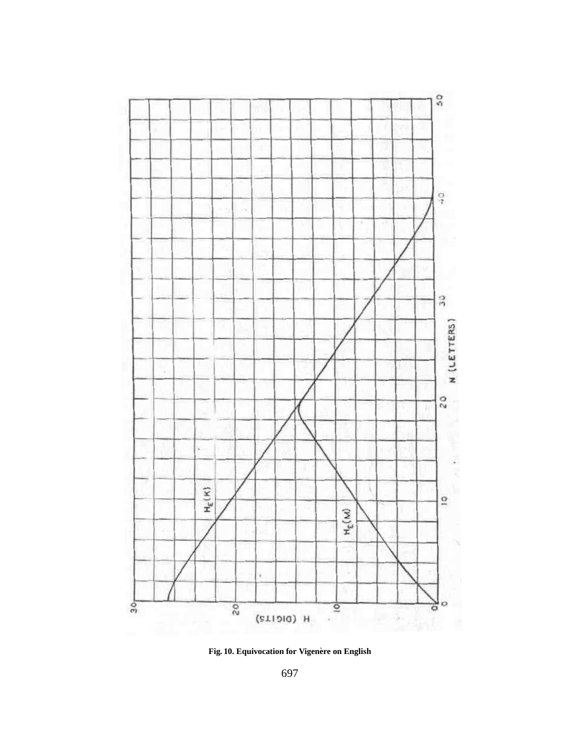

**Fig. 10. Equivocation for Vigen**`**ere on English**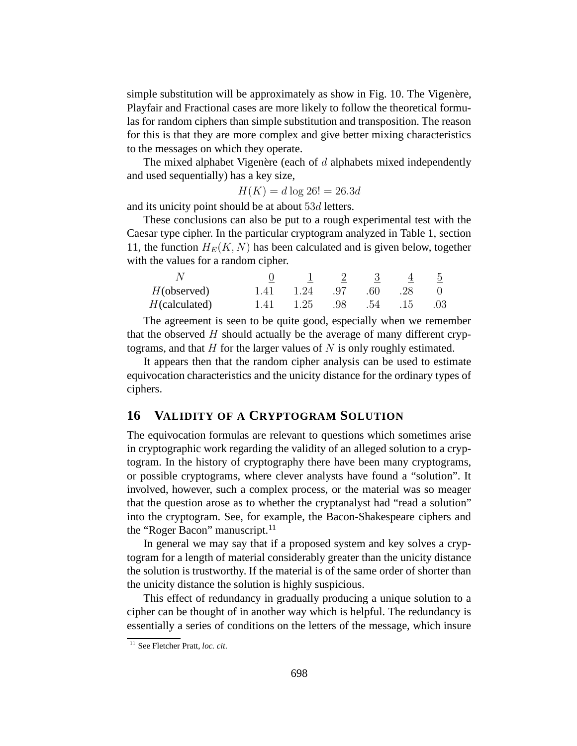simple substitution will be approximately as show in Fig. 10. The Vigenère, Playfair and Fractional cases are more likely to follow the theoretical formulas for random ciphers than simple substitution and transposition. The reason for this is that they are more complex and give better mixing characteristics to the messages on which they operate.

The mixed alphabet Vigenère (each of  $d$  alphabets mixed independently and used sequentially) has a key size,

$$
H(K) = d \log 26! = 26.3d
$$

and its unicity point should be at about 53d letters.

These conclusions can also be put to a rough experimental test with the Caesar type cipher. In the particular cryptogram analyzed in Table 1, section 11, the function  $H_E(K, N)$  has been calculated and is given below, together with the values for a random cipher.

|                  | $0 \qquad 1 \qquad 2$                                | $\overline{\phantom{a}3}$ | 4 5 |  |
|------------------|------------------------------------------------------|---------------------------|-----|--|
| $H$ (observed)   | $1.41 \quad 1.24 \quad 97 \quad 60 \quad 28 \quad 0$ |                           |     |  |
| $H$ (calculated) | 1.41 1.25 .98 .54 .15 .03                            |                           |     |  |

The agreement is seen to be quite good, especially when we remember that the observed  $H$  should actually be the average of many different cryptograms, and that  $H$  for the larger values of  $N$  is only roughly estimated.

It appears then that the random cipher analysis can be used to estimate equivocation characteristics and the unicity distance for the ordinary types of ciphers.

# **16 VALIDITY OF A CRYPTOGRAM SOLUTION**

The equivocation formulas are relevant to questions which sometimes arise in cryptographic work regarding the validity of an alleged solution to a cryptogram. In the history of cryptography there have been many cryptograms, or possible cryptograms, where clever analysts have found a "solution". It involved, however, such a complex process, or the material was so meager that the question arose as to whether the cryptanalyst had "read a solution" into the cryptogram. See, for example, the Bacon-Shakespeare ciphers and the "Roger Bacon" manuscript.<sup>11</sup>

In general we may say that if a proposed system and key solves a cryptogram for a length of material considerably greater than the unicity distance the solution is trustworthy. If the material is of the same order of shorter than the unicity distance the solution is highly suspicious.

This effect of redundancy in gradually producing a unique solution to a cipher can be thought of in another way which is helpful. The redundancy is essentially a series of conditions on the letters of the message, which insure

<sup>11</sup> See Fletcher Pratt, *loc. cit*.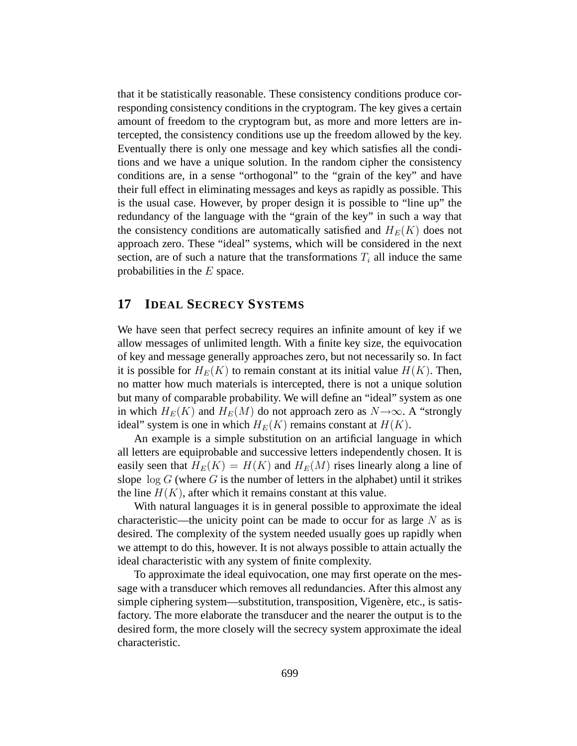that it be statistically reasonable. These consistency conditions produce corresponding consistency conditions in the cryptogram. The key gives a certain amount of freedom to the cryptogram but, as more and more letters are intercepted, the consistency conditions use up the freedom allowed by the key. Eventually there is only one message and key which satisfies all the conditions and we have a unique solution. In the random cipher the consistency conditions are, in a sense "orthogonal" to the "grain of the key" and have their full effect in eliminating messages and keys as rapidly as possible. This is the usual case. However, by proper design it is possible to "line up" the redundancy of the language with the "grain of the key" in such a way that the consistency conditions are automatically satisfied and  $H_E(K)$  does not approach zero. These "ideal" systems, which will be considered in the next section, are of such a nature that the transformations  $T_i$  all induce the same probabilities in the  $E$  space.

# **17 IDEAL SECRECY SYSTEMS**

We have seen that perfect secrecy requires an infinite amount of key if we allow messages of unlimited length. With a finite key size, the equivocation of key and message generally approaches zero, but not necessarily so. In fact it is possible for  $H_E(K)$  to remain constant at its initial value  $H(K)$ . Then, no matter how much materials is intercepted, there is not a unique solution but many of comparable probability. We will define an "ideal" system as one in which  $H_E(K)$  and  $H_E(M)$  do not approach zero as  $N \rightarrow \infty$ . A "strongly ideal" system is one in which  $H_E(K)$  remains constant at  $H(K)$ .

An example is a simple substitution on an artificial language in which all letters are equiprobable and successive letters independently chosen. It is easily seen that  $H_E(K) = H(K)$  and  $H_E(M)$  rises linearly along a line of slope  $\log G$  (where G is the number of letters in the alphabet) until it strikes the line  $H(K)$ , after which it remains constant at this value.

With natural languages it is in general possible to approximate the ideal characteristic—the unicity point can be made to occur for as large  $N$  as is desired. The complexity of the system needed usually goes up rapidly when we attempt to do this, however. It is not always possible to attain actually the ideal characteristic with any system of finite complexity.

To approximate the ideal equivocation, one may first operate on the message with a transducer which removes all redundancies. After this almost any simple ciphering system—substitution, transposition, Vigenère, etc., is satisfactory. The more elaborate the transducer and the nearer the output is to the desired form, the more closely will the secrecy system approximate the ideal characteristic.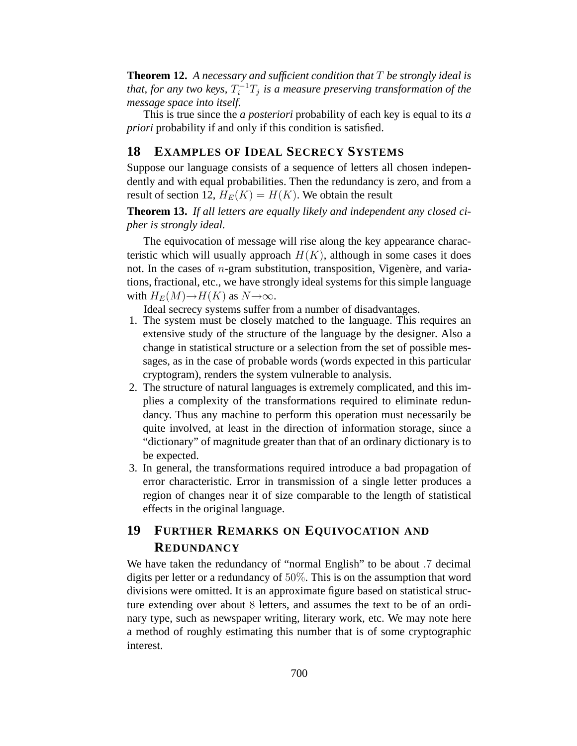**Theorem 12.** *A necessary and sufficient condition that* T *be strongly ideal is that, for any two keys,*  $T_i^{-1}T_j$  *is a measure preserving transformation of the message space into itself.*

This is true since the *a posteriori* probability of each key is equal to its *a priori* probability if and only if this condition is satisfied.

## **18 EXAMPLES OF IDEAL SECRECY SYSTEMS**

Suppose our language consists of a sequence of letters all chosen independently and with equal probabilities. Then the redundancy is zero, and from a result of section 12,  $H_E(K) = H(K)$ . We obtain the result

**Theorem 13.** *If all letters are equally likely and independent any closed cipher is strongly ideal.*

The equivocation of message will rise along the key appearance characteristic which will usually approach  $H(K)$ , although in some cases it does not. In the cases of  $n$ -gram substitution, transposition, Vigenère, and variations, fractional, etc., we have strongly ideal systems for this simple language with  $H_E(M) \to H(K)$  as  $N \to \infty$ .

Ideal secrecy systems suffer from a number of disadvantages.

- 1. The system must be closely matched to the language. This requires an extensive study of the structure of the language by the designer. Also a change in statistical structure or a selection from the set of possible messages, as in the case of probable words (words expected in this particular cryptogram), renders the system vulnerable to analysis.
- 2. The structure of natural languages is extremely complicated, and this implies a complexity of the transformations required to eliminate redundancy. Thus any machine to perform this operation must necessarily be quite involved, at least in the direction of information storage, since a "dictionary" of magnitude greater than that of an ordinary dictionary is to be expected.
- 3. In general, the transformations required introduce a bad propagation of error characteristic. Error in transmission of a single letter produces a region of changes near it of size comparable to the length of statistical effects in the original language.

# **19 FURTHER REMARKS ON EQUIVOCATION AND REDUNDANCY**

We have taken the redundancy of "normal English" to be about .7 decimal digits per letter or a redundancy of 50%. This is on the assumption that word divisions were omitted. It is an approximate figure based on statistical structure extending over about 8 letters, and assumes the text to be of an ordinary type, such as newspaper writing, literary work, etc. We may note here a method of roughly estimating this number that is of some cryptographic interest.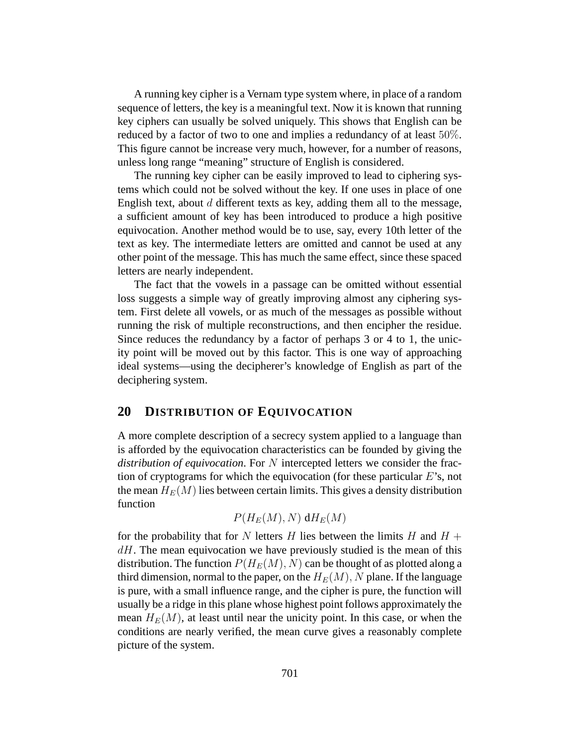A running key cipher is a Vernam type system where, in place of a random sequence of letters, the key is a meaningful text. Now it is known that running key ciphers can usually be solved uniquely. This shows that English can be reduced by a factor of two to one and implies a redundancy of at least 50%. This figure cannot be increase very much, however, for a number of reasons, unless long range "meaning" structure of English is considered.

The running key cipher can be easily improved to lead to ciphering systems which could not be solved without the key. If one uses in place of one English text, about  $d$  different texts as key, adding them all to the message, a sufficient amount of key has been introduced to produce a high positive equivocation. Another method would be to use, say, every 10th letter of the text as key. The intermediate letters are omitted and cannot be used at any other point of the message. This has much the same effect, since these spaced letters are nearly independent.

The fact that the vowels in a passage can be omitted without essential loss suggests a simple way of greatly improving almost any ciphering system. First delete all vowels, or as much of the messages as possible without running the risk of multiple reconstructions, and then encipher the residue. Since reduces the redundancy by a factor of perhaps 3 or 4 to 1, the unicity point will be moved out by this factor. This is one way of approaching ideal systems—using the decipherer's knowledge of English as part of the deciphering system.

# **20 DISTRIBUTION OF EQUIVOCATION**

A more complete description of a secrecy system applied to a language than is afforded by the equivocation characteristics can be founded by giving the *distribution of equivocation*. For N intercepted letters we consider the fraction of cryptograms for which the equivocation (for these particular  $E$ 's, not the mean  $H_E(M)$  lies between certain limits. This gives a density distribution function

$$
P(H_E(M), N) \, \mathrm{d}H_E(M)
$$

for the probability that for N letters H lies between the limits H and  $H +$  $dH$ . The mean equivocation we have previously studied is the mean of this distribution. The function  $P(H_E(M), N)$  can be thought of as plotted along a third dimension, normal to the paper, on the  $H_E(M)$ , N plane. If the language is pure, with a small influence range, and the cipher is pure, the function will usually be a ridge in this plane whose highest point follows approximately the mean  $H_E(M)$ , at least until near the unicity point. In this case, or when the conditions are nearly verified, the mean curve gives a reasonably complete picture of the system.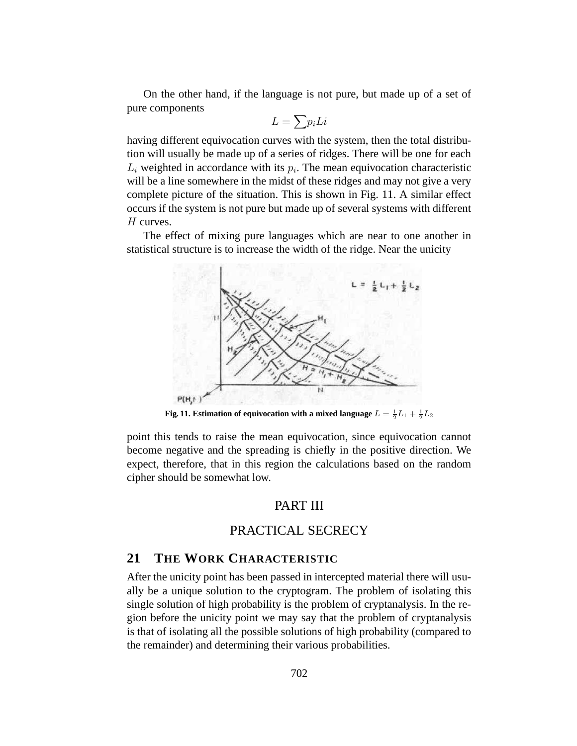On the other hand, if the language is not pure, but made up of a set of pure components

$$
L = \sum p_i Li
$$

having different equivocation curves with the system, then the total distribution will usually be made up of a series of ridges. There will be one for each  $L_i$  weighted in accordance with its  $p_i$ . The mean equivocation characteristic will be a line somewhere in the midst of these ridges and may not give a very complete picture of the situation. This is shown in Fig. 11. A similar effect occurs if the system is not pure but made up of several systems with different  $H$  curves.

The effect of mixing pure languages which are near to one another in statistical structure is to increase the width of the ridge. Near the unicity



Fig. 11. Estimation of equivocation with a mixed language  $L = \frac{1}{2}L_1 + \frac{1}{2}L_2$ 

point this tends to raise the mean equivocation, since equivocation cannot become negative and the spreading is chiefly in the positive direction. We expect, therefore, that in this region the calculations based on the random cipher should be somewhat low.

## PART III

# PRACTICAL SECRECY

## **21 THE WORK CHARACTERISTIC**

After the unicity point has been passed in intercepted material there will usually be a unique solution to the cryptogram. The problem of isolating this single solution of high probability is the problem of cryptanalysis. In the region before the unicity point we may say that the problem of cryptanalysis is that of isolating all the possible solutions of high probability (compared to the remainder) and determining their various probabilities.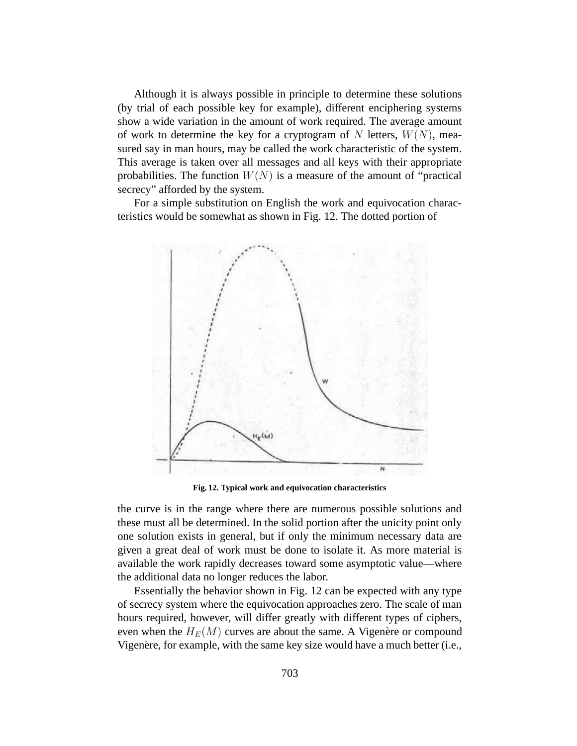Although it is always possible in principle to determine these solutions (by trial of each possible key for example), different enciphering systems show a wide variation in the amount of work required. The average amount of work to determine the key for a cryptogram of N letters,  $W(N)$ , measured say in man hours, may be called the work characteristic of the system. This average is taken over all messages and all keys with their appropriate probabilities. The function  $W(N)$  is a measure of the amount of "practical" secrecy" afforded by the system.

For a simple substitution on English the work and equivocation characteristics would be somewhat as shown in Fig. 12. The dotted portion of



**Fig. 12. Typical work and equivocation characteristics**

the curve is in the range where there are numerous possible solutions and these must all be determined. In the solid portion after the unicity point only one solution exists in general, but if only the minimum necessary data are given a great deal of work must be done to isolate it. As more material is available the work rapidly decreases toward some asymptotic value—where the additional data no longer reduces the labor.

Essentially the behavior shown in Fig. 12 can be expected with any type of secrecy system where the equivocation approaches zero. The scale of man hours required, however, will differ greatly with different types of ciphers, even when the  $H_E(M)$  curves are about the same. A Vigenère or compound Vigenère, for example, with the same key size would have a much better (i.e.,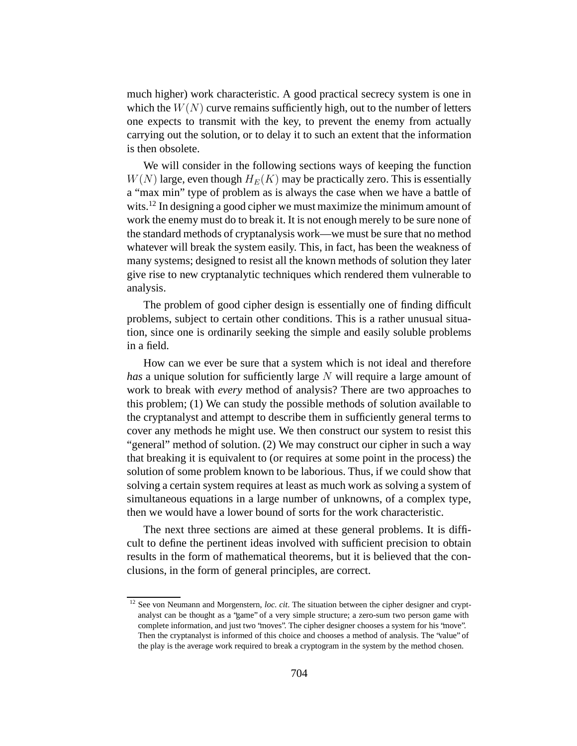much higher) work characteristic. A good practical secrecy system is one in which the  $W(N)$  curve remains sufficiently high, out to the number of letters one expects to transmit with the key, to prevent the enemy from actually carrying out the solution, or to delay it to such an extent that the information is then obsolete.

We will consider in the following sections ways of keeping the function  $W(N)$  large, even though  $H_E(K)$  may be practically zero. This is essentially a "max min" type of problem as is always the case when we have a battle of wits.<sup>12</sup> In designing a good cipher we must maximize the minimum amount of work the enemy must do to break it. It is not enough merely to be sure none of the standard methods of cryptanalysis work—we must be sure that no method whatever will break the system easily. This, in fact, has been the weakness of many systems; designed to resist all the known methods of solution they later give rise to new cryptanalytic techniques which rendered them vulnerable to analysis.

The problem of good cipher design is essentially one of finding difficult problems, subject to certain other conditions. This is a rather unusual situation, since one is ordinarily seeking the simple and easily soluble problems in a field.

How can we ever be sure that a system which is not ideal and therefore *has* a unique solution for sufficiently large N will require a large amount of work to break with *every* method of analysis? There are two approaches to this problem; (1) We can study the possible methods of solution available to the cryptanalyst and attempt to describe them in sufficiently general terms to cover any methods he might use. We then construct our system to resist this "general" method of solution. (2) We may construct our cipher in such a way that breaking it is equivalent to (or requires at some point in the process) the solution of some problem known to be laborious. Thus, if we could show that solving a certain system requires at least as much work as solving a system of simultaneous equations in a large number of unknowns, of a complex type, then we would have a lower bound of sorts for the work characteristic.

The next three sections are aimed at these general problems. It is difficult to define the pertinent ideas involved with sufficient precision to obtain results in the form of mathematical theorems, but it is believed that the conclusions, in the form of general principles, are correct.

<sup>&</sup>lt;sup>12</sup> See von Neumann and Morgenstern, *loc. cit*. The situation between the cipher designer and cryptanalyst can be thought as a "game" of a very simple structure; a zero-sum two person game with complete information, and just two "moves". The cipher designer chooses a system for his "move". Then the cryptanalyst is informed of this choice and chooses a method of analysis. The "value" of the play is the average work required to break a cryptogram in the system by the method chosen.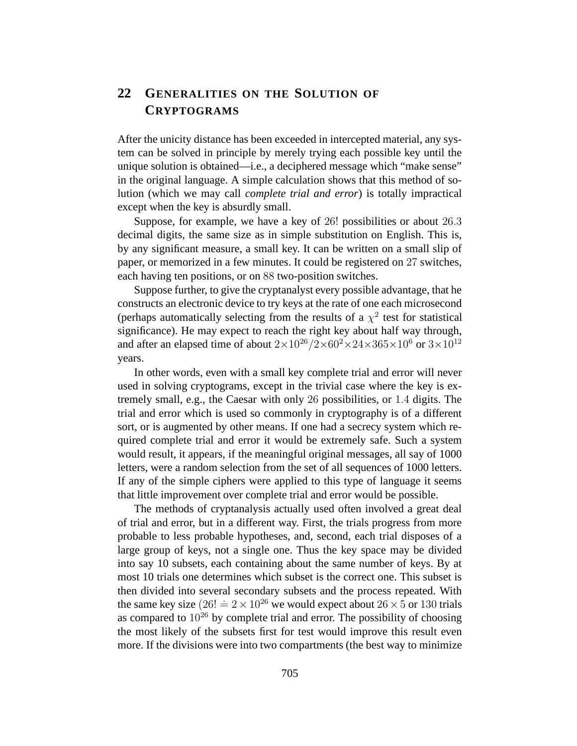# **22 GENERALITIES ON THE SOLUTION OF CRYPTOGRAMS**

After the unicity distance has been exceeded in intercepted material, any system can be solved in principle by merely trying each possible key until the unique solution is obtained—i.e., a deciphered message which "make sense" in the original language. A simple calculation shows that this method of solution (which we may call *complete trial and error*) is totally impractical except when the key is absurdly small.

Suppose, for example, we have a key of 26! possibilities or about 26.3 decimal digits, the same size as in simple substitution on English. This is, by any significant measure, a small key. It can be written on a small slip of paper, or memorized in a few minutes. It could be registered on 27 switches, each having ten positions, or on 88 two-position switches.

Suppose further, to give the cryptanalyst every possible advantage, that he constructs an electronic device to try keys at the rate of one each microsecond (perhaps automatically selecting from the results of a  $\chi^2$  test for statistical significance). He may expect to reach the right key about half way through, and after an elapsed time of about  $2\times10^{26}/2\times60^2\times24\times365\times10^6$  or  $3\times10^{12}$ years.

In other words, even with a small key complete trial and error will never used in solving cryptograms, except in the trivial case where the key is extremely small, e.g., the Caesar with only 26 possibilities, or 1.4 digits. The trial and error which is used so commonly in cryptography is of a different sort, or is augmented by other means. If one had a secrecy system which required complete trial and error it would be extremely safe. Such a system would result, it appears, if the meaningful original messages, all say of 1000 letters, were a random selection from the set of all sequences of 1000 letters. If any of the simple ciphers were applied to this type of language it seems that little improvement over complete trial and error would be possible.

The methods of cryptanalysis actually used often involved a great deal of trial and error, but in a different way. First, the trials progress from more probable to less probable hypotheses, and, second, each trial disposes of a large group of keys, not a single one. Thus the key space may be divided into say 10 subsets, each containing about the same number of keys. By at most 10 trials one determines which subset is the correct one. This subset is then divided into several secondary subsets and the process repeated. With the same key size  $(26! \doteq 2 \times 10^{26}$  we would expect about  $26 \times 5$  or 130 trials as compared to  $10^{26}$  by complete trial and error. The possibility of choosing the most likely of the subsets first for test would improve this result even more. If the divisions were into two compartments (the best way to minimize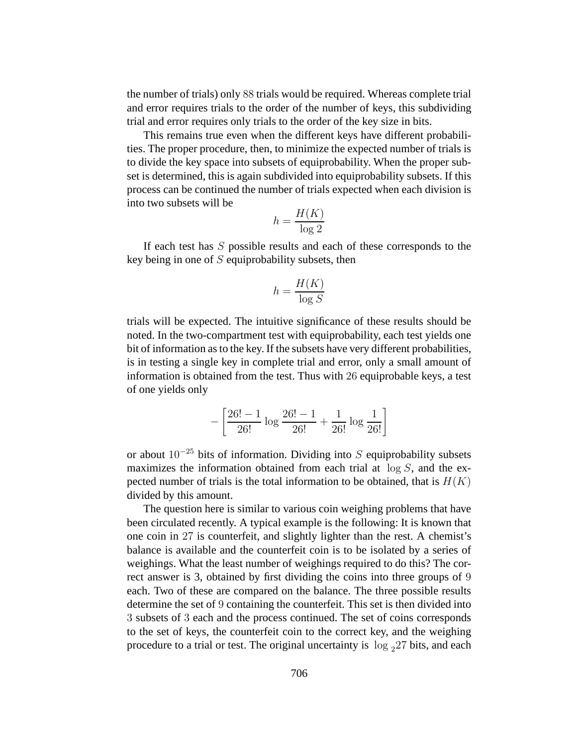the number of trials) only 88 trials would be required. Whereas complete trial and error requires trials to the order of the number of keys, this subdividing trial and error requires only trials to the order of the key size in bits.

This remains true even when the different keys have different probabilities. The proper procedure, then, to minimize the expected number of trials is to divide the key space into subsets of equiprobability. When the proper subset is determined, this is again subdivided into equiprobability subsets. If this process can be continued the number of trials expected when each division is into two subsets will be

$$
h = \frac{H(K)}{\log 2}
$$

If each test has  $S$  possible results and each of these corresponds to the key being in one of  $S$  equiprobability subsets, then

$$
h = \frac{H(K)}{\log S}
$$

trials will be expected. The intuitive significance of these results should be noted. In the two-compartment test with equiprobability, each test yields one bit of information as to the key. If the subsets have very different probabilities, is in testing a single key in complete trial and error, only a small amount of information is obtained from the test. Thus with 26 equiprobable keys, a test of one yields only

$$
-\left[\frac{26!-1}{26!}\log\frac{26!-1}{26!}+\frac{1}{26!}\log\frac{1}{26!}\right]
$$

or about  $10^{-25}$  bits of information. Dividing into S equiprobability subsets maximizes the information obtained from each trial at  $log S$ , and the expected number of trials is the total information to be obtained, that is  $H(K)$ divided by this amount.

The question here is similar to various coin weighing problems that have been circulated recently. A typical example is the following: It is known that one coin in 27 is counterfeit, and slightly lighter than the rest. A chemist's balance is available and the counterfeit coin is to be isolated by a series of weighings. What the least number of weighings required to do this? The correct answer is 3, obtained by first dividing the coins into three groups of 9 each. Two of these are compared on the balance. The three possible results determine the set of 9 containing the counterfeit. This set is then divided into 3 subsets of 3 each and the process continued. The set of coins corresponds to the set of keys, the counterfeit coin to the correct key, and the weighing procedure to a trial or test. The original uncertainty is  $\log_2 27$  bits, and each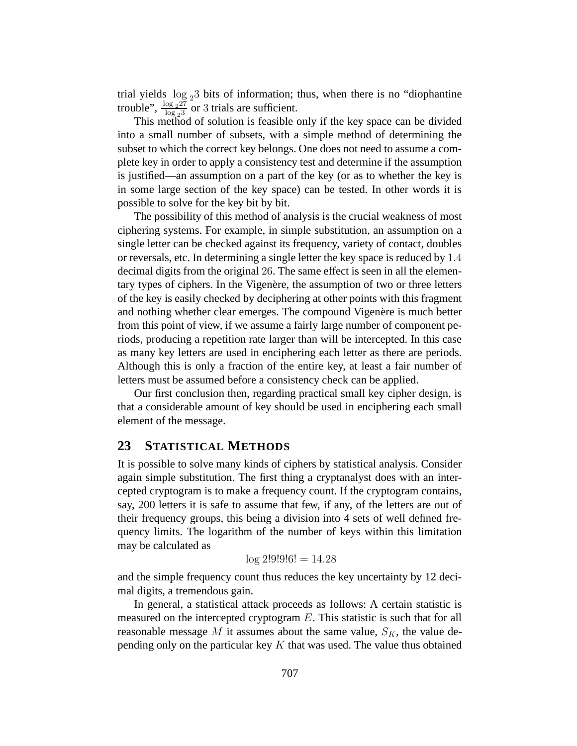trial yields  $log_2 3$  bits of information; thus, when there is no "diophantine" trouble",  $\frac{\log_2 27}{\log_2 3}$  or 3 trials are sufficient.

This method of solution is feasible only if the key space can be divided into a small number of subsets, with a simple method of determining the subset to which the correct key belongs. One does not need to assume a complete key in order to apply a consistency test and determine if the assumption is justified—an assumption on a part of the key (or as to whether the key is in some large section of the key space) can be tested. In other words it is possible to solve for the key bit by bit.

The possibility of this method of analysis is the crucial weakness of most ciphering systems. For example, in simple substitution, an assumption on a single letter can be checked against its frequency, variety of contact, doubles or reversals, etc. In determining a single letter the key space is reduced by 1.4 decimal digits from the original 26. The same effect is seen in all the elementary types of ciphers. In the Vigenère, the assumption of two or three letters of the key is easily checked by deciphering at other points with this fragment and nothing whether clear emerges. The compound Vigenère is much better from this point of view, if we assume a fairly large number of component periods, producing a repetition rate larger than will be intercepted. In this case as many key letters are used in enciphering each letter as there are periods. Although this is only a fraction of the entire key, at least a fair number of letters must be assumed before a consistency check can be applied.

Our first conclusion then, regarding practical small key cipher design, is that a considerable amount of key should be used in enciphering each small element of the message.

# **23 STATISTICAL METHODS**

It is possible to solve many kinds of ciphers by statistical analysis. Consider again simple substitution. The first thing a cryptanalyst does with an intercepted cryptogram is to make a frequency count. If the cryptogram contains, say, 200 letters it is safe to assume that few, if any, of the letters are out of their frequency groups, this being a division into 4 sets of well defined frequency limits. The logarithm of the number of keys within this limitation may be calculated as

 $log 2!9!9!6! = 14.28$ 

and the simple frequency count thus reduces the key uncertainty by 12 decimal digits, a tremendous gain.

In general, a statistical attack proceeds as follows: A certain statistic is measured on the intercepted cryptogram  $E$ . This statistic is such that for all reasonable message M it assumes about the same value,  $S_K$ , the value depending only on the particular key  $K$  that was used. The value thus obtained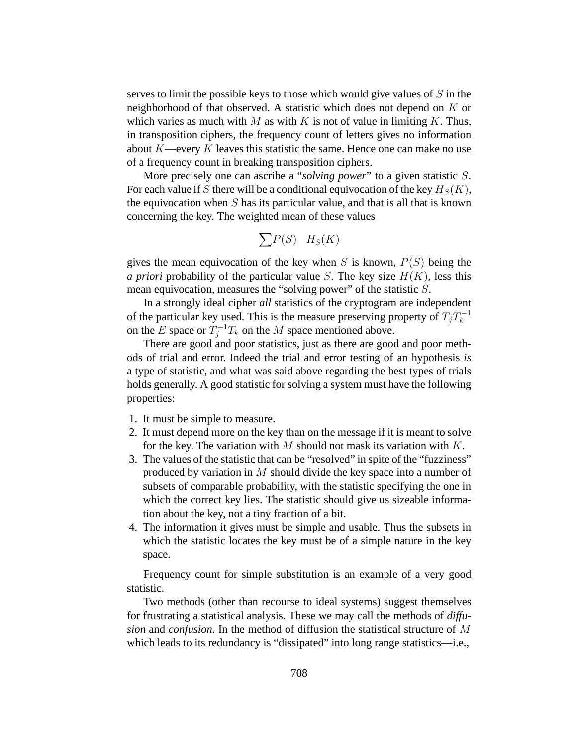serves to limit the possible keys to those which would give values of  $S$  in the neighborhood of that observed. A statistic which does not depend on K or which varies as much with M as with K is not of value in limiting K. Thus, in transposition ciphers, the frequency count of letters gives no information about  $K$ —every K leaves this statistic the same. Hence one can make no use of a frequency count in breaking transposition ciphers.

More precisely one can ascribe a "*solving power*" to a given statistic S. For each value if S there will be a conditional equivocation of the key  $H_S(K)$ , the equivocation when  $S$  has its particular value, and that is all that is known concerning the key. The weighted mean of these values

$$
\sum P(S) \quad H_S(K)
$$

gives the mean equivocation of the key when S is known,  $P(S)$  being the *a priori* probability of the particular value S. The key size  $H(K)$ , less this mean equivocation, measures the "solving power" of the statistic S.

In a strongly ideal cipher *all* statistics of the cryptogram are independent of the particular key used. This is the measure preserving property of  $T_j T_k^{-1}$ on the E space or  $T_j^{-1}T_k$  on the M space mentioned above.

There are good and poor statistics, just as there are good and poor methods of trial and error. Indeed the trial and error testing of an hypothesis *is* a type of statistic, and what was said above regarding the best types of trials holds generally. A good statistic for solving a system must have the following properties:

- 1. It must be simple to measure.
- 2. It must depend more on the key than on the message if it is meant to solve for the key. The variation with  $M$  should not mask its variation with  $K$ .
- 3. The values of the statistic that can be "resolved" in spite of the "fuzziness" produced by variation in  $M$  should divide the key space into a number of subsets of comparable probability, with the statistic specifying the one in which the correct key lies. The statistic should give us sizeable information about the key, not a tiny fraction of a bit.
- 4. The information it gives must be simple and usable. Thus the subsets in which the statistic locates the key must be of a simple nature in the key space.

Frequency count for simple substitution is an example of a very good statistic.

Two methods (other than recourse to ideal systems) suggest themselves for frustrating a statistical analysis. These we may call the methods of *diffusion* and *confusion*. In the method of diffusion the statistical structure of M which leads to its redundancy is "dissipated" into long range statistics—i.e.,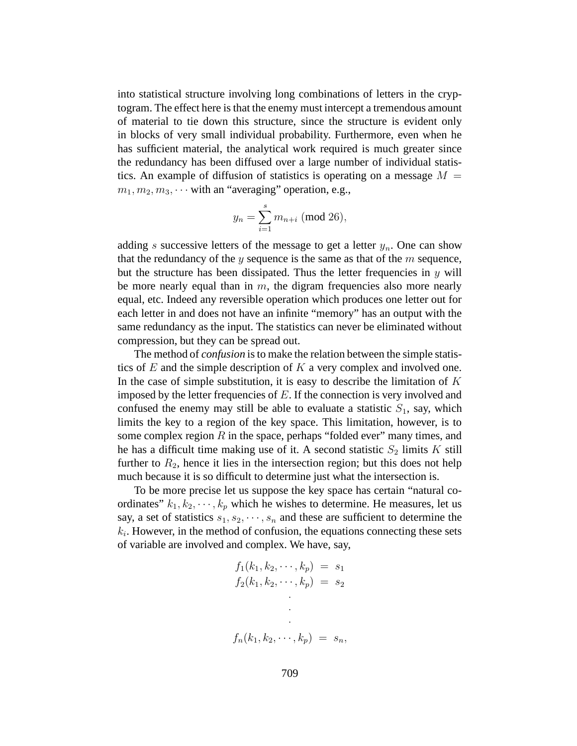into statistical structure involving long combinations of letters in the cryptogram. The effect here is that the enemy must intercept a tremendous amount of material to tie down this structure, since the structure is evident only in blocks of very small individual probability. Furthermore, even when he has sufficient material, the analytical work required is much greater since the redundancy has been diffused over a large number of individual statistics. An example of diffusion of statistics is operating on a message  $M =$  $m_1, m_2, m_3, \cdots$  with an "averaging" operation, e.g.,

$$
y_n = \sum_{i=1}^{s} m_{n+i} \; (\text{mod } 26),
$$

adding s successive letters of the message to get a letter  $y_n$ . One can show that the redundancy of the  $y$  sequence is the same as that of the  $m$  sequence, but the structure has been dissipated. Thus the letter frequencies in  $y$  will be more nearly equal than in  $m$ , the digram frequencies also more nearly equal, etc. Indeed any reversible operation which produces one letter out for each letter in and does not have an infinite "memory" has an output with the same redundancy as the input. The statistics can never be eliminated without compression, but they can be spread out.

The method of *confusion* isto make the relation between the simple statistics of  $E$  and the simple description of  $K$  a very complex and involved one. In the case of simple substitution, it is easy to describe the limitation of  $K$ imposed by the letter frequencies of  $E$ . If the connection is very involved and confused the enemy may still be able to evaluate a statistic  $S_1$ , say, which limits the key to a region of the key space. This limitation, however, is to some complex region  $R$  in the space, perhaps "folded ever" many times, and he has a difficult time making use of it. A second statistic  $S_2$  limits K still further to  $R_2$ , hence it lies in the intersection region; but this does not help much because it is so difficult to determine just what the intersection is.

To be more precise let us suppose the key space has certain "natural coordinates"  $k_1, k_2, \dots, k_p$  which he wishes to determine. He measures, let us say, a set of statistics  $s_1, s_2, \dots, s_n$  and these are sufficient to determine the  $k_i$ . However, in the method of confusion, the equations connecting these sets of variable are involved and complex. We have, say,

$$
f_1(k_1, k_2, \cdots, k_p) = s_1
$$
  
\n
$$
f_2(k_1, k_2, \cdots, k_p) = s_2
$$
  
\n
$$
\vdots
$$
  
\n
$$
f_n(k_1, k_2, \cdots, k_p) = s_n,
$$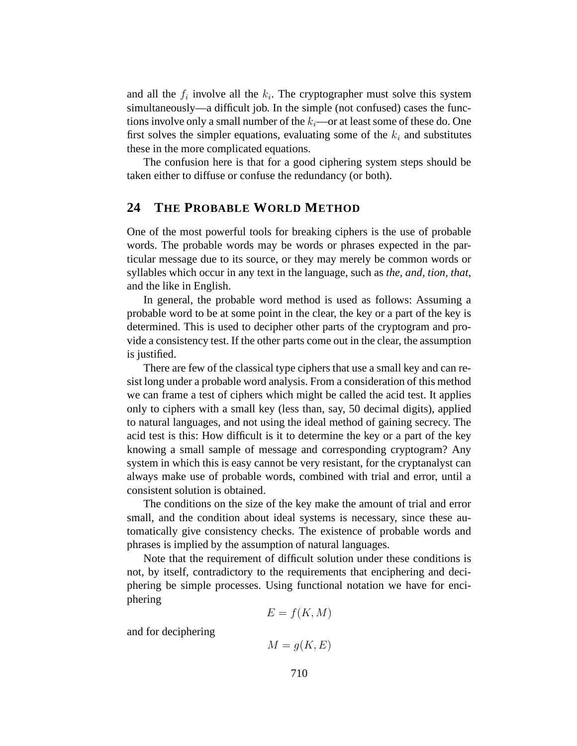and all the  $f_i$  involve all the  $k_i$ . The cryptographer must solve this system simultaneously—a difficult job. In the simple (not confused) cases the functions involve only a small number of the  $k_i$ —or at least some of these do. One first solves the simpler equations, evaluating some of the  $k_i$  and substitutes these in the more complicated equations.

The confusion here is that for a good ciphering system steps should be taken either to diffuse or confuse the redundancy (or both).

# **24 THE PROBABLE WORLD METHOD**

One of the most powerful tools for breaking ciphers is the use of probable words. The probable words may be words or phrases expected in the particular message due to its source, or they may merely be common words or syllables which occur in any text in the language, such as *the, and, tion, that*, and the like in English.

In general, the probable word method is used as follows: Assuming a probable word to be at some point in the clear, the key or a part of the key is determined. This is used to decipher other parts of the cryptogram and provide a consistency test. If the other parts come out in the clear, the assumption is justified.

There are few of the classical type ciphers that use a small key and can resist long under a probable word analysis. From a consideration of this method we can frame a test of ciphers which might be called the acid test. It applies only to ciphers with a small key (less than, say, 50 decimal digits), applied to natural languages, and not using the ideal method of gaining secrecy. The acid test is this: How difficult is it to determine the key or a part of the key knowing a small sample of message and corresponding cryptogram? Any system in which this is easy cannot be very resistant, for the cryptanalyst can always make use of probable words, combined with trial and error, until a consistent solution is obtained.

The conditions on the size of the key make the amount of trial and error small, and the condition about ideal systems is necessary, since these automatically give consistency checks. The existence of probable words and phrases is implied by the assumption of natural languages.

Note that the requirement of difficult solution under these conditions is not, by itself, contradictory to the requirements that enciphering and deciphering be simple processes. Using functional notation we have for enciphering

$$
E = f(K, M)
$$

and for deciphering

 $M = q(K, E)$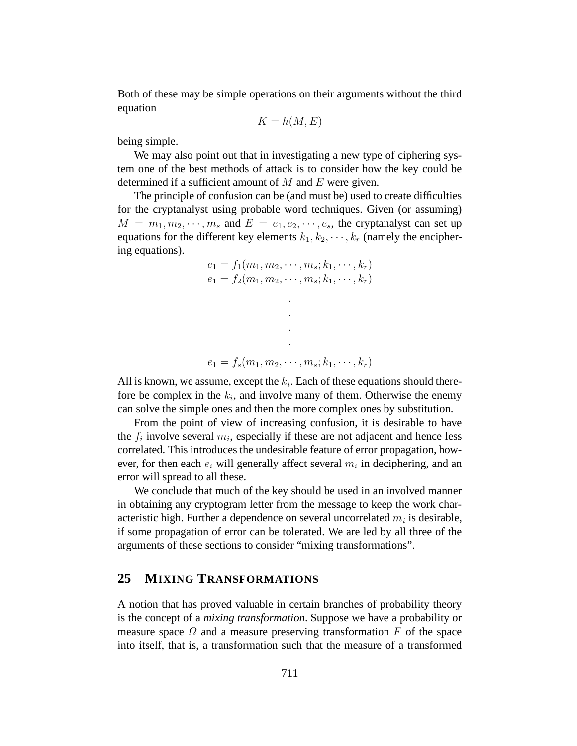Both of these may be simple operations on their arguments without the third equation

$$
K = h(M, E)
$$

being simple.

We may also point out that in investigating a new type of ciphering system one of the best methods of attack is to consider how the key could be determined if a sufficient amount of  $M$  and  $E$  were given.

The principle of confusion can be (and must be) used to create difficulties for the cryptanalyst using probable word techniques. Given (or assuming)  $M = m_1, m_2, \cdots, m_s$  and  $E = e_1, e_2, \cdots, e_s$ , the cryptanalyst can set up equations for the different key elements  $k_1, k_2, \dots, k_r$  (namely the enciphering equations).

$$
e_1 = f_1(m_1, m_2, \cdots, m_s; k_1, \cdots, k_r) e_1 = f_2(m_1, m_2, \cdots, m_s; k_1, \cdots, k_r)
$$

. .

$$
e_1 = f_s(m_1, m_2, \cdots, m_s; k_1, \cdots, k_r)
$$

All is known, we assume, except the  $k_i$ . Each of these equations should therefore be complex in the  $k_i$ , and involve many of them. Otherwise the enemy can solve the simple ones and then the more complex ones by substitution.

From the point of view of increasing confusion, it is desirable to have the  $f_i$  involve several  $m_i$ , especially if these are not adjacent and hence less correlated. This introduces the undesirable feature of error propagation, however, for then each  $e_i$  will generally affect several  $m_i$  in deciphering, and an error will spread to all these.

We conclude that much of the key should be used in an involved manner in obtaining any cryptogram letter from the message to keep the work characteristic high. Further a dependence on several uncorrelated  $m_i$  is desirable, if some propagation of error can be tolerated. We are led by all three of the arguments of these sections to consider "mixing transformations".

# **25 MIXING TRANSFORMATIONS**

A notion that has proved valuable in certain branches of probability theory is the concept of a *mixing transformation*. Suppose we have a probability or measure space  $\Omega$  and a measure preserving transformation  $F$  of the space into itself, that is, a transformation such that the measure of a transformed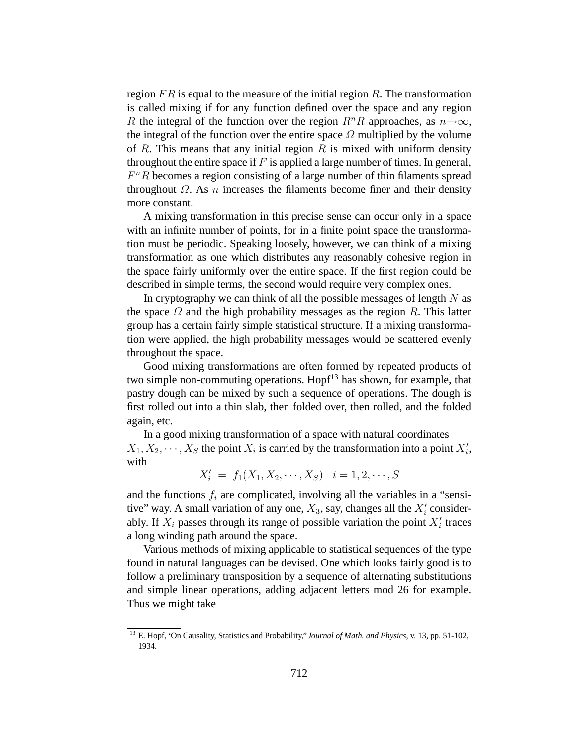region  $FR$  is equal to the measure of the initial region R. The transformation is called mixing if for any function defined over the space and any region R the integral of the function over the region  $R^nR$  approaches, as  $n\rightarrow\infty$ , the integral of the function over the entire space  $\Omega$  multiplied by the volume of R. This means that any initial region R is mixed with uniform density throughout the entire space if  $F$  is applied a large number of times. In general,  $F^nR$  becomes a region consisting of a large number of thin filaments spread throughout  $\Omega$ . As n increases the filaments become finer and their density more constant.

A mixing transformation in this precise sense can occur only in a space with an infinite number of points, for in a finite point space the transformation must be periodic. Speaking loosely, however, we can think of a mixing transformation as one which distributes any reasonably cohesive region in the space fairly uniformly over the entire space. If the first region could be described in simple terms, the second would require very complex ones.

In cryptography we can think of all the possible messages of length  $N$  as the space  $\Omega$  and the high probability messages as the region R. This latter group has a certain fairly simple statistical structure. If a mixing transformation were applied, the high probability messages would be scattered evenly throughout the space.

Good mixing transformations are often formed by repeated products of two simple non-commuting operations. Hopf $13$  has shown, for example, that pastry dough can be mixed by such a sequence of operations. The dough is first rolled out into a thin slab, then folded over, then rolled, and the folded again, etc.

In a good mixing transformation of a space with natural coordinates  $X_1, X_2, \dots, X_S$  the point  $X_i$  is carried by the transformation into a point  $X_i'$ , with

$$
X'_{i} = f_{1}(X_{1}, X_{2}, \cdots, X_{S}) \quad i = 1, 2, \cdots, S
$$

and the functions  $f_i$  are complicated, involving all the variables in a "sensitive" way. A small variation of any one,  $X_3$ , say, changes all the  $X_i'$  considerably. If  $X_i$  passes through its range of possible variation the point  $X_i'$  traces a long winding path around the space.

Various methods of mixing applicable to statistical sequences of the type found in natural languages can be devised. One which looks fairly good is to follow a preliminary transposition by a sequence of alternating substitutions and simple linear operations, adding adjacent letters mod 26 for example. Thus we might take

<sup>13</sup> E. Hopf, "On Causality, Statistics and Probability," *Journal of Math. and Physics*, v. 13, pp. 51-102, 1934.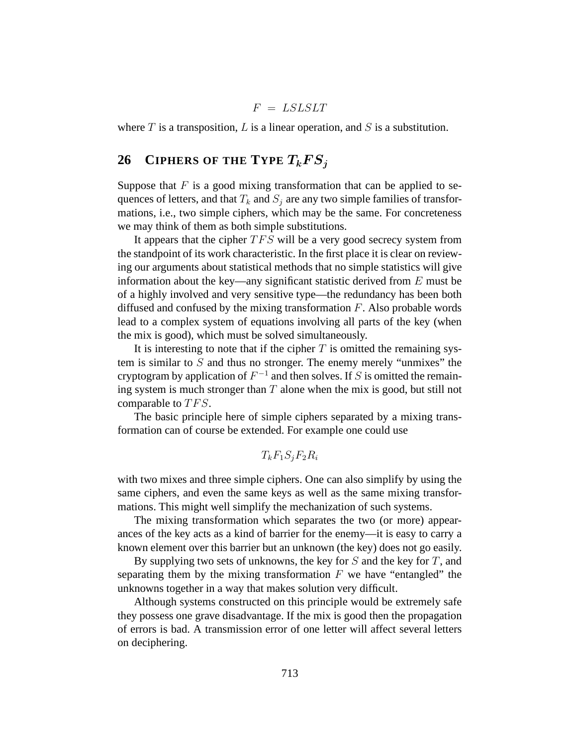$$
F\ =\ L S L S L T
$$

where  $T$  is a transposition,  $L$  is a linear operation, and  $S$  is a substitution.

# **26** CIPHERS OF THE TYPE  $T_kFS_j$

Suppose that  $F$  is a good mixing transformation that can be applied to sequences of letters, and that  $T_k$  and  $S_i$  are any two simple families of transformations, i.e., two simple ciphers, which may be the same. For concreteness we may think of them as both simple substitutions.

It appears that the cipher  $TFS$  will be a very good secrecy system from the standpoint of its work characteristic. In the first place it is clear on reviewing our arguments about statistical methods that no simple statistics will give information about the key—any significant statistic derived from  $E$  must be of a highly involved and very sensitive type—the redundancy has been both diffused and confused by the mixing transformation  $F$ . Also probable words lead to a complex system of equations involving all parts of the key (when the mix is good), which must be solved simultaneously.

It is interesting to note that if the cipher  $T$  is omitted the remaining system is similar to  $S$  and thus no stronger. The enemy merely "unmixes" the cryptogram by application of  $F^{-1}$  and then solves. If S is omitted the remaining system is much stronger than  $T$  alone when the mix is good, but still not comparable to TFS.

The basic principle here of simple ciphers separated by a mixing transformation can of course be extended. For example one could use

$$
T_k F_1 S_j F_2 R_i
$$

with two mixes and three simple ciphers. One can also simplify by using the same ciphers, and even the same keys as well as the same mixing transformations. This might well simplify the mechanization of such systems.

The mixing transformation which separates the two (or more) appearances of the key acts as a kind of barrier for the enemy—it is easy to carry a known element over this barrier but an unknown (the key) does not go easily.

By supplying two sets of unknowns, the key for  $S$  and the key for  $T$ , and separating them by the mixing transformation  $F$  we have "entangled" the unknowns together in a way that makes solution very difficult.

Although systems constructed on this principle would be extremely safe they possess one grave disadvantage. If the mix is good then the propagation of errors is bad. A transmission error of one letter will affect several letters on deciphering.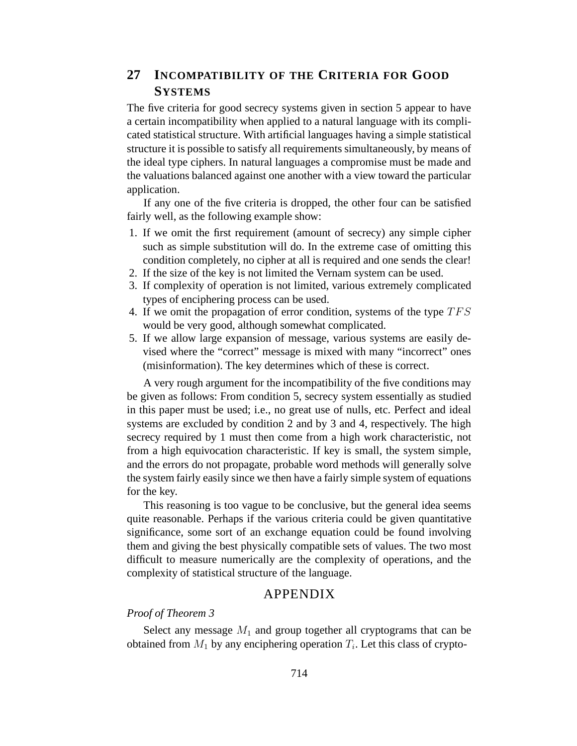# **27 INCOMPATIBILITY OF THE CRITERIA FOR GOOD SYSTEMS**

The five criteria for good secrecy systems given in section 5 appear to have a certain incompatibility when applied to a natural language with its complicated statistical structure. With artificial languages having a simple statistical structure it is possible to satisfy all requirements simultaneously, by means of the ideal type ciphers. In natural languages a compromise must be made and the valuations balanced against one another with a view toward the particular application.

If any one of the five criteria is dropped, the other four can be satisfied fairly well, as the following example show:

- 1. If we omit the first requirement (amount of secrecy) any simple cipher such as simple substitution will do. In the extreme case of omitting this condition completely, no cipher at all is required and one sends the clear!
- 2. If the size of the key is not limited the Vernam system can be used.
- 3. If complexity of operation is not limited, various extremely complicated types of enciphering process can be used.
- 4. If we omit the propagation of error condition, systems of the type TFS would be very good, although somewhat complicated.
- 5. If we allow large expansion of message, various systems are easily devised where the "correct" message is mixed with many "incorrect" ones (misinformation). The key determines which of these is correct.

A very rough argument for the incompatibility of the five conditions may be given as follows: From condition 5, secrecy system essentially as studied in this paper must be used; i.e., no great use of nulls, etc. Perfect and ideal systems are excluded by condition 2 and by 3 and 4, respectively. The high secrecy required by 1 must then come from a high work characteristic, not from a high equivocation characteristic. If key is small, the system simple, and the errors do not propagate, probable word methods will generally solve the system fairly easily since we then have a fairly simple system of equations for the key.

This reasoning is too vague to be conclusive, but the general idea seems quite reasonable. Perhaps if the various criteria could be given quantitative significance, some sort of an exchange equation could be found involving them and giving the best physically compatible sets of values. The two most difficult to measure numerically are the complexity of operations, and the complexity of statistical structure of the language.

# APPENDIX

#### *Proof of Theorem 3*

Select any message  $M_1$  and group together all cryptograms that can be obtained from  $M_1$  by any enciphering operation  $T_i$ . Let this class of crypto-